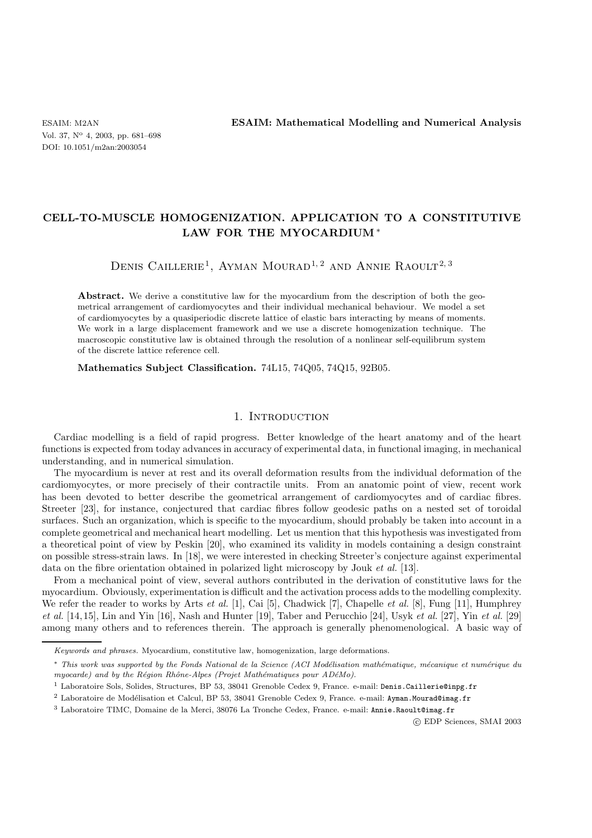ESAIM: M2AN **ESAIM: Mathematical Modelling and Numerical Analysis**

# **CELL-TO-MUSCLE HOMOGENIZATION. APPLICATION TO A CONSTITUTIVE LAW FOR THE MYOCARDIUM**∗

# DENIS CAILLERIE<sup>1</sup>, AYMAN MOURAD<sup>1, 2</sup> AND ANNIE RAOULT<sup>2, 3</sup>

Abstract. We derive a constitutive law for the myocardium from the description of both the geometrical arrangement of cardiomyocytes and their individual mechanical behaviour. We model a set of cardiomyocytes by a quasiperiodic discrete lattice of elastic bars interacting by means of moments. We work in a large displacement framework and we use a discrete homogenization technique. The macroscopic constitutive law is obtained through the resolution of a nonlinear self-equilibrum system of the discrete lattice reference cell.

**Mathematics Subject Classification.** 74L15, 74Q05, 74Q15, 92B05.

# 1. INTRODUCTION

Cardiac modelling is a field of rapid progress. Better knowledge of the heart anatomy and of the heart functions is expected from today advances in accuracy of experimental data, in functional imaging, in mechanical understanding, and in numerical simulation.

The myocardium is never at rest and its overall deformation results from the individual deformation of the cardiomyocytes, or more precisely of their contractile units. From an anatomic point of view, recent work has been devoted to better describe the geometrical arrangement of cardiomyocytes and of cardiac fibres. Streeter [23], for instance, conjectured that cardiac fibres follow geodesic paths on a nested set of toroidal surfaces. Such an organization, which is specific to the myocardium, should probably be taken into account in a complete geometrical and mechanical heart modelling. Let us mention that this hypothesis was investigated from a theoretical point of view by Peskin [20], who examined its validity in models containing a design constraint on possible stress-strain laws. In [18], we were interested in checking Streeter's conjecture against experimental data on the fibre orientation obtained in polarized light microscopy by Jouk *et al.* [13].

From a mechanical point of view, several authors contributed in the derivation of constitutive laws for the myocardium. Obviously, experimentation is difficult and the activation process adds to the modelling complexity. We refer the reader to works by Arts *et al.* [1], Cai [5], Chadwick [7], Chapelle *et al.* [8], Fung [11], Humphrey *et al.* [14, 15], Lin and Yin [16], Nash and Hunter [19], Taber and Perucchio [24], Usyk *et al.* [27], Yin *et al.* [29] among many others and to references therein. The approach is generally phenomenological. A basic way of

-c EDP Sciences, SMAI 2003

*Keywords and phrases.* Myocardium, constitutive law, homogenization, large deformations.

<sup>\*</sup> *This work was supported by the Fonds National de la Science (ACI Modélisation mathématique, mécanique et numérique du myocarde) and by the Région Rhône-Alpes (Projet Mathématiques pour ADéMo).* 

<sup>1</sup> Laboratoire Sols, Solides, Structures, BP 53, 38041 Grenoble Cedex 9, France. e-mail: Denis.Caillerie@inpg.fr

 $^2$  Laboratoire de Modélisation et Calcul, BP 53, 38041 Grenoble Cedex 9, France. e-mail: Ayman.Mourad@imag.fr

<sup>3</sup> Laboratoire TIMC, Domaine de la Merci, 38076 La Tronche Cedex, France. e-mail: Annie.Raoult@imag.fr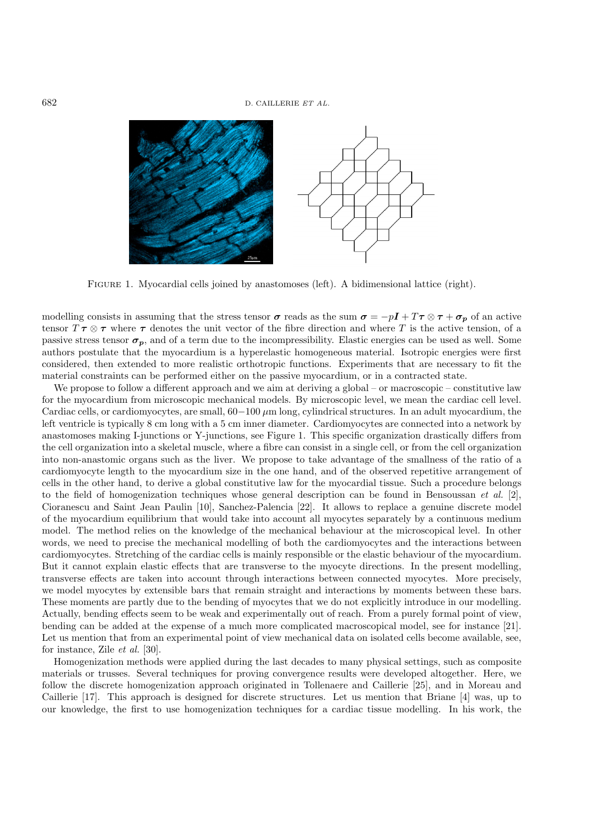

Figure 1. Myocardial cells joined by anastomoses (left). A bidimensional lattice (right).

modelling consists in assuming that the stress tensor  $\sigma$  reads as the sum  $\sigma = -pI + T\tau \otimes \tau + \sigma_p$  of an active tensor  $T \tau \otimes \tau$  where  $\tau$  denotes the unit vector of the fibre direction and where T is the active tension, of a passive stress tensor  $\sigma_p$ , and of a term due to the incompressibility. Elastic energies can be used as well. Some authors postulate that the myocardium is a hyperelastic homogeneous material. Isotropic energies were first considered, then extended to more realistic orthotropic functions. Experiments that are necessary to fit the material constraints can be performed either on the passive myocardium, or in a contracted state.

We propose to follow a different approach and we aim at deriving a global – or macroscopic – constitutive law for the myocardium from microscopic mechanical models. By microscopic level, we mean the cardiac cell level. Cardiac cells, or cardiomyocytes, are small,  $60-100 \mu m$  long, cylindrical structures. In an adult myocardium, the left ventricle is typically 8 cm long with a 5 cm inner diameter. Cardiomyocytes are connected into a network by anastomoses making I-junctions or Y-junctions, see Figure 1. This specific organization drastically differs from the cell organization into a skeletal muscle, where a fibre can consist in a single cell, or from the cell organization into non-anastomic organs such as the liver. We propose to take advantage of the smallness of the ratio of a cardiomyocyte length to the myocardium size in the one hand, and of the observed repetitive arrangement of cells in the other hand, to derive a global constitutive law for the myocardial tissue. Such a procedure belongs to the field of homogenization techniques whose general description can be found in Bensoussan *et al.* [2], Cioranescu and Saint Jean Paulin [10], Sanchez-Palencia [22]. It allows to replace a genuine discrete model of the myocardium equilibrium that would take into account all myocytes separately by a continuous medium model. The method relies on the knowledge of the mechanical behaviour at the microscopical level. In other words, we need to precise the mechanical modelling of both the cardiomyocytes and the interactions between cardiomyocytes. Stretching of the cardiac cells is mainly responsible or the elastic behaviour of the myocardium. But it cannot explain elastic effects that are transverse to the myocyte directions. In the present modelling, transverse effects are taken into account through interactions between connected myocytes. More precisely, we model myocytes by extensible bars that remain straight and interactions by moments between these bars. These moments are partly due to the bending of myocytes that we do not explicitly introduce in our modelling. Actually, bending effects seem to be weak and experimentally out of reach. From a purely formal point of view, bending can be added at the expense of a much more complicated macroscopical model, see for instance [21]. Let us mention that from an experimental point of view mechanical data on isolated cells become available, see, for instance, Zile *et al.* [30].

Homogenization methods were applied during the last decades to many physical settings, such as composite materials or trusses. Several techniques for proving convergence results were developed altogether. Here, we follow the discrete homogenization approach originated in Tollenaere and Caillerie [25], and in Moreau and Caillerie [17]. This approach is designed for discrete structures. Let us mention that Briane [4] was, up to our knowledge, the first to use homogenization techniques for a cardiac tissue modelling. In his work, the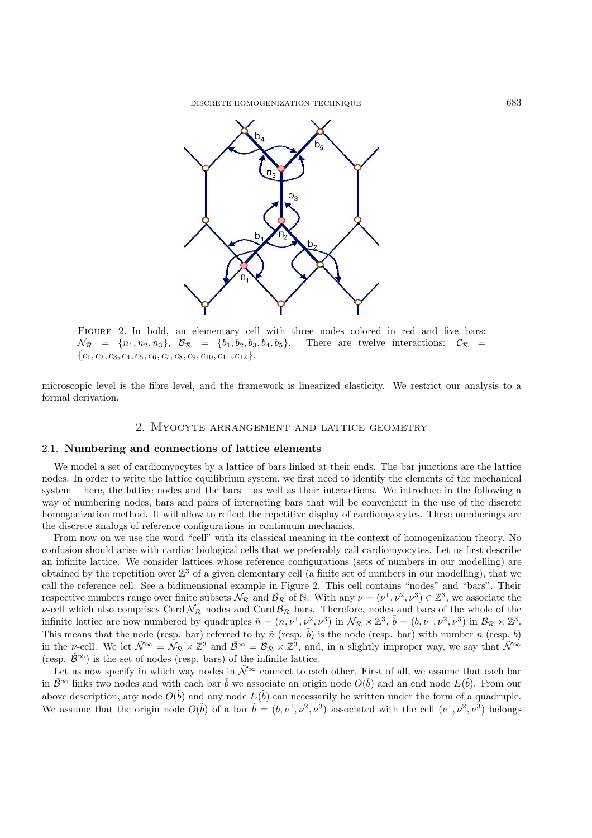

FIGURE 2. In bold, an elementary cell with three nodes colored in red and five bars:  $\mathcal{N}_{\mathcal{R}} = \{n_1, n_2, n_3\}, \mathcal{B}_{\mathcal{R}} = \{b_1, b_2, b_3, b_4, b_5\}.$  There are twelve interactions:  $\mathcal{C}_{\mathcal{R}} =$  ${c_1, c_2, c_3, c_4, c_5, c_6, c_7, c_8, c_9, c_{10}, c_{11}, c_{12}.}$ 

microscopic level is the fibre level, and the framework is linearized elasticity. We restrict our analysis to a formal derivation.

## 2. Myocyte arrangement and lattice geometry

#### 2.1. **Numbering and connections of lattice elements**

We model a set of cardiomyocytes by a lattice of bars linked at their ends. The bar junctions are the lattice nodes. In order to write the lattice equilibrium system, we first need to identify the elements of the mechanical system – here, the lattice nodes and the bars – as well as their interactions. We introduce in the following a way of numbering nodes, bars and pairs of interacting bars that will be convenient in the use of the discrete homogenization method. It will allow to reflect the repetitive display of cardiomyocytes. These numberings are the discrete analogs of reference configurations in continuum mechanics.

From now on we use the word "cell" with its classical meaning in the context of homogenization theory. No confusion should arise with cardiac biological cells that we preferably call cardiomyocytes. Let us first describe an infinite lattice. We consider lattices whose reference configurations (sets of numbers in our modelling) are obtained by the repetition over  $\mathbb{Z}^3$  of a given elementary cell (a finite set of numbers in our modelling), that we call the reference cell. See a bidimensional example in Figure 2. This cell contains "nodes" and "bars". Their respective numbers range over finite subsets  $\mathcal{N}_{\mathcal{R}}$  and  $\mathcal{B}_{\mathcal{R}}$  of N. With any  $\nu = (\nu^1, \nu^2, \nu^3) \in \mathbb{Z}^3$ , we associate the v-cell which also comprises Card  $\mathcal{N}_{\mathcal{R}}$  nodes and Card  $\mathcal{B}_{\mathcal{R}}$  bars. Therefore, nodes and bars of the whole of the infinite lattice are now numbered by quadruples  $\tilde{n} = (n, \nu^1, \nu^2, \nu^3)$  in  $\mathcal{N}_{\mathcal{R}} \times \mathbb{Z}^3$ ,  $\tilde{b} = (b, \nu^1, \nu^2, \nu^3)$  in  $\mathcal{B}_{\mathcal{R}} \times \mathbb{Z}^3$ . This means that the node (resp. bar) referred to by  $\tilde{n}$  (resp.  $\tilde{b}$ ) is the node (resp. bar) with number n (resp. b) in the v-cell. We let  $\tilde{\mathcal{N}}^{\infty} = \mathcal{N}_{\mathcal{R}} \times \mathbb{Z}^3$  and  $\tilde{\mathcal{B}}^{\infty} = \mathcal{B}_{\mathcal{R}} \times \mathbb{Z}^3$ , and, in a slightly improper way, we say that  $\tilde{\mathcal{N}}^{\infty}$ (resp.  $\tilde{\mathcal{B}}^{\infty}$ ) is the set of nodes (resp. bars) of the infinite lattice.

Let us now specify in which way nodes in  $\tilde{\mathcal{N}}^{\infty}$  connect to each other. First of all, we assume that each bar in  $\tilde{B}^{\infty}$  links two nodes and with each bar  $\tilde{b}$  we associate an origin node  $O(\tilde{b})$  and an end node  $E(\tilde{b})$ . From our above description, any node  $O(b)$  and any node  $E(b)$  can necessarily be written under the form of a quadruple. We assume that the origin node  $O(\tilde{b})$  of a bar  $\tilde{b} = (b, \nu^1, \nu^2, \nu^3)$  associated with the cell  $(\nu^1, \nu^2, \nu^3)$  belongs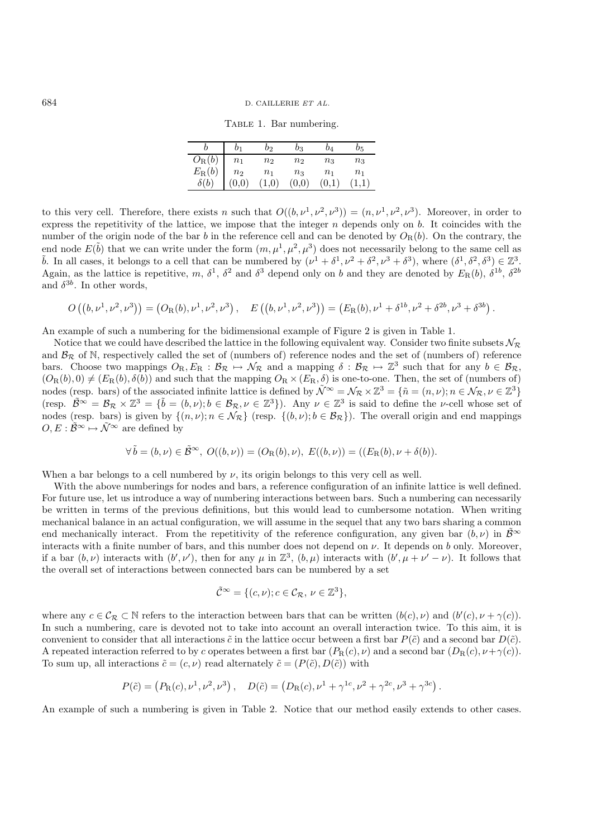Table 1. Bar numbering.

| $\frac{O_{\rm R}(b)}{E_{\rm R}(b)}$<br>n <sub>1</sub> | n <sub>2</sub> | n <sub>2</sub> | $n_3$          | $n_{3}$        |
|-------------------------------------------------------|----------------|----------------|----------------|----------------|
|                                                       |                |                |                |                |
| $n_{2}$                                               | n <sub>1</sub> | $n_3$          | n <sub>1</sub> | n <sub>1</sub> |
| $\overset{2}{0,0}$                                    | 1,0)           | (0,0)          | (0.1)          |                |

to this very cell. Therefore, there exists n such that  $O((b, \nu^1, \nu^2, \nu^3)) = (n, \nu^1, \nu^2, \nu^3)$ . Moreover, in order to express the repetitivity of the lattice, we impose that the integer  $n$  depends only on  $b$ . It coincides with the number of the origin node of the bar b in the reference cell and can be denoted by  $O_R(b)$ . On the contrary, the end node  $E(\tilde{b})$  that we can write under the form  $(m, \mu^1, \mu^2, \mu^3)$  does not necessarily belong to the same cell as  $\tilde{b}$ . In all cases, it belongs to a cell that can be numbered by  $(\nu^1 + \delta^1, \nu^2 + \delta^2, \nu^3 + \delta^3)$ , where  $(\delta^1, \delta^2, \delta^3) \in \mathbb{Z}^3$ .<br>Again as the lattice is repetitive  $m \delta^1, \delta^2$  and  $\delta^3$  depend only on h and the Again, as the lattice is repetitive, m,  $\delta^1$ ,  $\delta^2$  and  $\delta^3$  depend only on b and they are denoted by  $E_R(b)$ ,  $\delta^{1b}$ ,  $\delta^{2b}$ and  $\delta^{3b}$ . In other words,

$$
O\left(\left(b,\nu^1,\nu^2,\nu^3\right)\right) = \left(O_R(b),\nu^1,\nu^2,\nu^3\right), \quad E\left(\left(b,\nu^1,\nu^2,\nu^3\right)\right) = \left(E_R(b),\nu^1+\delta^{1b},\nu^2+\delta^{2b},\nu^3+\delta^{3b}\right).
$$

An example of such a numbering for the bidimensional example of Figure 2 is given in Table 1.

Notice that we could have described the lattice in the following equivalent way. Consider two finite subsets  $\mathcal{N}_{\mathcal{R}}$ and  $B_{\mathcal{R}}$  of N, respectively called the set of (numbers of) reference nodes and the set of (numbers of) reference bars. Choose two mappings  $O_R, E_R : \mathcal{B}_R \to \mathcal{N}_R$  and a mapping  $\delta : \mathcal{B}_R \to \mathbb{Z}^3$  such that for any  $b \in \mathcal{B}_R$ ,  $(O_{\mathrm{R}}(b), 0) \neq (E_{\mathrm{R}}(b), \delta(b))$  and such that the mapping  $O_{\mathrm{R}} \times (E_{\mathrm{R}}, \delta)$  is one-to-one. Then, the set of (numbers of) nodes (resp. bars) of the associated infinite lattice is defined by  $\tilde{\mathcal{N}}^{\infty} = \mathcal{N}_{\mathcal{R}} \times \mathbb{Z}^3 = {\tilde{n} = (n, \nu)}; n \in \mathcal{N}_{\mathcal{R}}, \nu \in \mathbb{Z}^3$ (resp.  $\tilde{B}^{\infty} = \mathcal{B}_{\mathcal{R}} \times \mathbb{Z}^3 = {\tilde{b} = (b, \nu); b \in \mathcal{B}_{\mathcal{R}}, \nu \in \mathbb{Z}^3}$ ). Any  $\nu \in \mathbb{Z}^3$  is said to define the *v*-cell whose set of nodes (resp. bars) is given by  $f(n, \nu): n \in \mathcal{N}_{\mathcal{R}}$  (resp.  $f(b, \nu): b$ nodes (resp. bars) is given by  $\{(n, \nu); n \in \mathcal{N}_{\mathcal{R}}\}$  (resp.  $\{(b, \nu); b \in \mathcal{B}_{\mathcal{R}}\}$ ). The overall origin and end mappings  $O \to \tilde{\mathcal{R}}^{\infty} \to \tilde{\mathcal{N}}^{\infty}$  are defined by  $O, E : \tilde{\mathcal{B}}^{\infty} \mapsto \tilde{\mathcal{N}}^{\infty}$  are defined by

$$
\forall \tilde{b} = (b, \nu) \in \tilde{\mathcal{B}}^{\infty}, \ O((b, \nu)) = (O_{R}(b), \nu), \ E((b, \nu)) = ((E_{R}(b), \nu + \delta(b)).
$$

When a bar belongs to a cell numbered by  $\nu$ , its origin belongs to this very cell as well.

With the above numberings for nodes and bars, a reference configuration of an infinite lattice is well defined. For future use, let us introduce a way of numbering interactions between bars. Such a numbering can necessarily be written in terms of the previous definitions, but this would lead to cumbersome notation. When writing mechanical balance in an actual configuration, we will assume in the sequel that any two bars sharing a common end mechanically interact. From the repetitivity of the reference configuration, any given bar  $(b, \nu)$  in  $\mathcal{B}^{\infty}$ interacts with a finite number of bars, and this number does not depend on  $\nu$ . It depends on b only. Moreover, if a bar  $(b, \nu)$  interacts with  $(b', \nu')$ , then for any  $\mu$  in  $\mathbb{Z}^3$ ,  $(b, \mu)$  interacts with  $(b', \mu + \nu' - \nu)$ . It follows that the overall set of interactions between connected bars can be numbered by a set

$$
\tilde{\mathcal{C}}^{\infty} = \{ (c, \nu); c \in \mathcal{C}_{\mathcal{R}}, \nu \in \mathbb{Z}^3 \},\
$$

where any  $c \in \mathcal{C}_{\mathcal{R}} \subset \mathbb{N}$  refers to the interaction between bars that can be written  $(b(c), \nu)$  and  $(b'(c), \nu + \gamma(c))$ .<br>In such a numbering, care is devoted not to take into account an overall interaction twice. To thi In such a numbering, care is devoted not to take into account an overall interaction twice. To this aim, it is convenient to consider that all interactions  $\tilde{c}$  in the lattice occur between a first bar  $P(\tilde{c})$  and a second bar  $D(\tilde{c})$ . A repeated interaction referred to by c operates between a first bar  $(P_R(c), \nu)$  and a second bar  $(D_R(c), \nu + \gamma(c))$ . To sum up, all interactions  $\tilde{c} = (c, \nu)$  read alternately  $\tilde{c} = (P(\tilde{c}), D(\tilde{c}))$  with

$$
P(\tilde{c}) = (P_{\rm R}(c), \nu^1, \nu^2, \nu^3), \quad D(\tilde{c}) = (D_{\rm R}(c), \nu^1 + \gamma^{1c}, \nu^2 + \gamma^{2c}, \nu^3 + \gamma^{3c}).
$$

An example of such a numbering is given in Table 2. Notice that our method easily extends to other cases.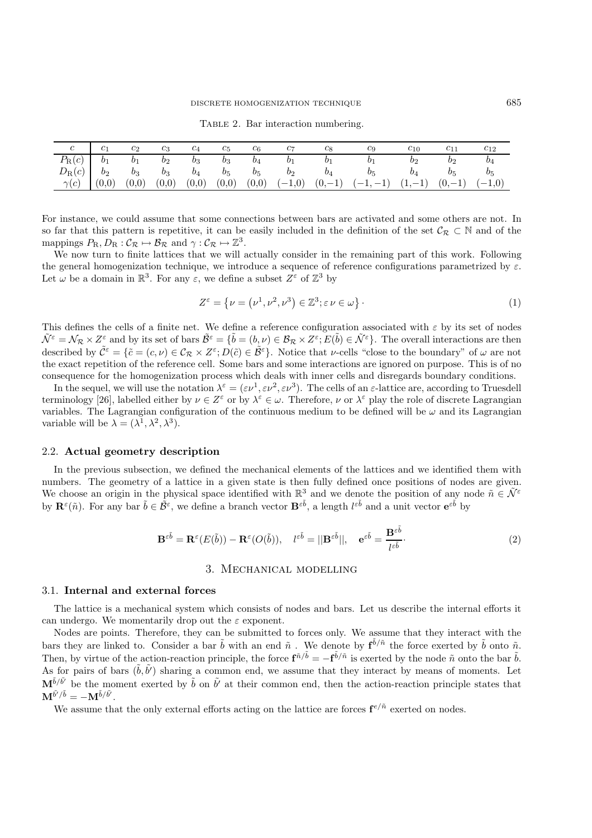| $\,c\,$                                | c <sub>1</sub> | $c_2$ | $c_3$             | $c_4$ | $c_5$ | $c_6$       | $c_7$ | $c_8$          | C9                                  | $c_{10}$       | $\scriptstyle{c_{11}}$ | $c_{12}$ |
|----------------------------------------|----------------|-------|-------------------|-------|-------|-------------|-------|----------------|-------------------------------------|----------------|------------------------|----------|
| $P_{\rm R}(c)$ $b_1$                   |                | $b_1$ | $b_2$ $b_3$ $b_3$ |       |       | $b_4$ $b_1$ |       | b <sub>1</sub> | b <sub>1</sub>                      | b <sub>2</sub> | $b_2$                  | $b_4$    |
| $D_R(c)$ $b_2$ $b_3$ $b_3$ $b_4$ $b_5$ |                |       |                   |       |       |             |       |                | $b_5$ $b_2$ $b_4$ $b_5$             | $b_4$          | $b_5$                  | $b_5$    |
| $\gamma(c)$                            | (0,0)          | (0,0) | (0,0)             | (0,0) | (0,0) |             |       |                | $(0,0)$ $(-1,0)$ $(0,-1)$ $(-1,-1)$ | $(1,-1)$       | $(0,-1)$               | $(-1,0)$ |
|                                        |                |       |                   |       |       |             |       |                |                                     |                |                        |          |

TABLE 2. Bar interaction numbering.

For instance, we could assume that some connections between bars are activated and some others are not. In so far that this pattern is repetitive, it can be easily included in the definition of the set  $\mathcal{C}_{\mathcal{R}} \subset \mathbb{N}$  and of the mappings  $P_{\rm R}$ ,  $D_{\rm R}$  :  $\mathcal{C}_{\mathcal{R}} \mapsto \mathcal{B}_{\mathcal{R}}$  and  $\gamma$  :  $\mathcal{C}_{\mathcal{R}} \mapsto \mathbb{Z}^3$ .

We now turn to finite lattices that we will actually consider in the remaining part of this work. Following the general homogenization technique, we introduce a sequence of reference configurations parametrized by  $\varepsilon$ . Let  $\omega$  be a domain in  $\mathbb{R}^3$ . For any  $\varepsilon$ , we define a subset  $Z^{\varepsilon}$  of  $\mathbb{Z}^3$  by

$$
Z^{\varepsilon} = \left\{ \nu = \left( \nu^1, \nu^2, \nu^3 \right) \in \mathbb{Z}^3; \varepsilon \nu \in \omega \right\}.
$$
 (1)

This defines the cells of a finite net. We define a reference configuration associated with  $\varepsilon$  by its set of nodes  $\tilde{\mathcal{N}}^{\varepsilon} = \mathcal{N}_{\mathcal{R}} \times Z^{\varepsilon}$  and by its set of bars  $\tilde{\mathcal{B}}^{\varepsilon} = {\tilde{b} = (b, \nu) \in \mathcal{B}_{\mathcal{R}} \times Z^{\varepsilon}}; E(\tilde{b}) \in \tilde{\mathcal{N}}^{\varepsilon}$ . The overall interactions are then described by  $\tilde{\mathcal{C}}^{\varepsilon} = \{\tilde{c} = (c, \nu) \in \mathcal{C}_{\mathcal{R}} \times Z^{\varepsilon}; D(\tilde{c}) \in \tilde{\mathcal{B}}^{\varepsilon}\}\.$  Notice that  $\nu$ -cells "close to the boundary" of  $\omega$  are not the exact repetition of the reference cell. Some bars and some interactions are ignored on purpose. This is of no consequence for the homogenization process which deals with inner cells and disregards boundary conditions.

In the sequel, we will use the notation  $\lambda^{\varepsilon} = (\varepsilon \nu^{1}, \varepsilon \nu^{2}, \varepsilon \nu^{3})$ . The cells of an  $\varepsilon$ -lattice are, according to Truesdell terminology [26], labelled either by  $\nu \in \mathbb{Z}^{\varepsilon}$  or by  $\lambda^{\varepsilon} \in \omega$ . Therefore,  $\nu$  or  $\lambda^{\varepsilon}$  play the role of discrete Lagrangian variables. The Lagrangian configuration of the continuous medium to be defined will be  $\omega$  and its Lagrangian variable will be  $\lambda = (\lambda^1, \lambda^2, \lambda^3)$ .

#### 2.2. **Actual geometry description**

In the previous subsection, we defined the mechanical elements of the lattices and we identified them with numbers. The geometry of a lattice in a given state is then fully defined once positions of nodes are given. We choose an origin in the physical space identified with  $\mathbb{R}^3$  and we denote the position of any node  $\tilde{n} \in \tilde{\mathcal{N}}^{\varepsilon}$ by  $\mathbf{R}^{\varepsilon}(\tilde{n})$ . For any bar  $\tilde{b} \in \tilde{\mathcal{B}}^{\varepsilon}$ , we define a branch vector  $\mathbf{B}^{\varepsilon \tilde{b}}$ , a length  $l^{\varepsilon \tilde{b}}$  and a unit vector  $\mathbf{e}^{\varepsilon \tilde{b}}$  by

$$
\mathbf{B}^{\varepsilon\tilde{b}} = \mathbf{R}^{\varepsilon}(E(\tilde{b})) - \mathbf{R}^{\varepsilon}(O(\tilde{b})), \quad l^{\varepsilon\tilde{b}} = ||\mathbf{B}^{\varepsilon\tilde{b}}||, \quad \mathbf{e}^{\varepsilon\tilde{b}} = \frac{\mathbf{B}^{\varepsilon\tilde{b}}}{l^{\varepsilon\tilde{b}}}.
$$
 (2)

#### 3. Mechanical modelling

#### 3.1. **Internal and external forces**

The lattice is a mechanical system which consists of nodes and bars. Let us describe the internal efforts it can undergo. We momentarily drop out the  $\varepsilon$  exponent.

Nodes are points. Therefore, they can be submitted to forces only. We assume that they interact with the bars they are linked to. Consider a bar  $\tilde{b}$  with an end  $\tilde{n}$ . We denote by  $\mathbf{f}^{\tilde{b}/\tilde{n}}$  the force exerted by  $\tilde{b}$  onto  $\tilde{n}$ .<br>Then by virtue of the estion reastion principle, the force  $\mathbf{f}^{\tilde{n}/\$ Then, by virtue of the action-reaction principle, the force  $\mathbf{f}^{\tilde{n}/\tilde{b}} = -\mathbf{f}^{\tilde{b}/\tilde{n}}$  is exerted by the node  $\tilde{n}$  onto the bar  $\tilde{b}$ .<br>As for pairs of bars  $(\tilde{b}, \tilde{b}')$  sharing a common end, we assum As for pairs of bars  $(\tilde{b}, \tilde{b}')$  sharing a common end, we assume that they interact by means of moments. Let  $\mathbf{M}^{\tilde{b}/\tilde{b}'}$  be the moment exerted by  $\tilde{b}$  on  $\tilde{b}'$  at their common end, then the action-reaction principle states that  $\mathbf{M}^{\tilde{b}'/\tilde{b}}$   $\sim$   $\mathbf{M}^{\tilde{b}/\tilde{b}'}$  $\mathbf{M}^{\tilde{b}^{\prime }/\tilde{b}}=-\mathbf{M}^{\tilde{b}/\tilde{b}^{\prime }}.$ 

We assume that the only external efforts acting on the lattice are forces  $\mathbf{f}^{e/\tilde{n}}$  exerted on nodes.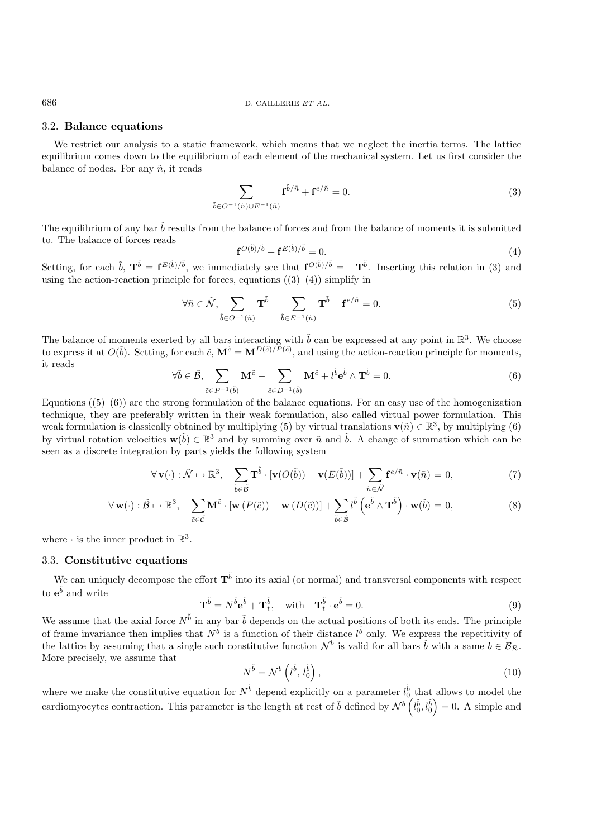### 3.2. **Balance equations**

We restrict our analysis to a static framework, which means that we neglect the inertia terms. The lattice equilibrium comes down to the equilibrium of each element of the mechanical system. Let us first consider the balance of nodes. For any  $\tilde{n}$ , it reads

$$
\sum_{\tilde{b}\in O^{-1}(\tilde{n})\cup E^{-1}(\tilde{n})} \mathbf{f}^{\tilde{b}/\tilde{n}} + \mathbf{f}^{e/\tilde{n}} = 0.
$$
 (3)

The equilibrium of any bar  $\tilde{b}$  results from the balance of forces and from the balance of moments it is submitted to. The balance of forces reads

$$
\mathbf{f}^{O(\tilde{b})/\tilde{b}} + \mathbf{f}^{E(\tilde{b})/\tilde{b}} = 0.
$$
\n(4)

Setting, for each  $\tilde{b}$ ,  $\mathbf{T}^{\tilde{b}} = \mathbf{f}^{E(\tilde{b})/\tilde{b}}$ , we immediately see that  $\mathbf{f}^{O(\tilde{b})/\tilde{b}} = -\mathbf{T}^{\tilde{b}}$ . Inserting this relation in (3) and using the action-reaction principle for forces, equations using the action-reaction principle for forces, equations  $((3)–(4))$  simplify in

$$
\forall \tilde{n} \in \tilde{\mathcal{N}}, \sum_{\tilde{b} \in O^{-1}(\tilde{n})} \mathbf{T}^{\tilde{b}} - \sum_{\tilde{b} \in E^{-1}(\tilde{n})} \mathbf{T}^{\tilde{b}} + \mathbf{f}^{e/\tilde{n}} = 0.
$$
 (5)

The balance of moments exerted by all bars interacting with  $\tilde{b}$  can be expressed at any point in  $\mathbb{R}^3$ . We choose to express it at  $O(\tilde{b})$ . Setting, for each  $\tilde{c}$ ,  $\mathbf{M}^{\tilde{c}} = \mathbf{M}^{D(\tilde{c})/P(\tilde{c})}$ , and using the action-reaction principle for moments, it reads

$$
\forall \tilde{b} \in \tilde{\mathcal{B}}, \sum_{\tilde{c} \in P^{-1}(\tilde{b})} \mathbf{M}^{\tilde{c}} - \sum_{\tilde{c} \in D^{-1}(\tilde{b})} \mathbf{M}^{\tilde{c}} + l^{\tilde{b}} \mathbf{e}^{\tilde{b}} \wedge \mathbf{T}^{\tilde{b}} = 0.
$$
 (6)

Equations  $(5)-(6)$  are the strong formulation of the balance equations. For an easy use of the homogenization technique, they are preferably written in their weak formulation, also called virtual power formulation. This weak formulation is classically obtained by multiplying (5) by virtual translations **v**( $\tilde{n}$ ) ∈  $\mathbb{R}^3$ , by multiplying (6) by virtual rotation velocities  $\mathbf{w}(\tilde{b}) \in \mathbb{R}^3$  and by summing over  $\tilde{n}$  and  $\tilde{b}$ . A change of summation which can be seen as a discrete integration by parts yields the following system

$$
\forall \mathbf{v}(\cdot) : \tilde{\mathcal{N}} \mapsto \mathbb{R}^3, \quad \sum_{\tilde{b} \in \tilde{\mathcal{B}}} \mathbf{T}^{\tilde{b}} \cdot [\mathbf{v}(O(\tilde{b})) - \mathbf{v}(E(\tilde{b}))] + \sum_{\tilde{n} \in \tilde{\mathcal{N}}} \mathbf{f}^{e/\tilde{n}} \cdot \mathbf{v}(\tilde{n}) = 0,
$$
\n(7)

$$
\forall \mathbf{w}(\cdot) : \tilde{\mathcal{B}} \mapsto \mathbb{R}^3, \quad \sum_{\tilde{c} \in \tilde{\mathcal{C}}} \mathbf{M}^{\tilde{c}} \cdot [\mathbf{w} \left( P(\tilde{c}) \right) - \mathbf{w} \left( D(\tilde{c}) \right)] + \sum_{\tilde{b} \in \tilde{\mathcal{B}}} l^{\tilde{b}} \left( e^{\tilde{b}} \wedge \mathbf{T}^{\tilde{b}} \right) \cdot \mathbf{w}(\tilde{b}) = 0,
$$
\n(8)

where  $\cdot$  is the inner product in  $\mathbb{R}^3$ .

# 3.3. **Constitutive equations**

We can uniquely decompose the effort  $T^{\tilde{b}}$  into its axial (or normal) and transversal components with respect to  $e^{\tilde{b}}$  and write

$$
\mathbf{T}^{\tilde{b}} = N^{\tilde{b}} \mathbf{e}^{\tilde{b}} + \mathbf{T}_{t}^{\tilde{b}}, \quad \text{with} \quad \mathbf{T}_{t}^{\tilde{b}} \cdot \mathbf{e}^{\tilde{b}} = 0. \tag{9}
$$

We assume that the axial force  $N^{\tilde{b}}$  in any bar  $\tilde{b}$  depends on the actual positions of both its ends. The principle of frame invariance than implies that  $N^{\tilde{b}}$  is a function of their distance  $l^{\tilde{b}}$  onl of frame invariance then implies that  $N^{\tilde{b}}$  is a function of their distance  $l^{\tilde{b}}$  only. We express the repetitivity of the lattice by assuming that a single such constitutive function  $N^b$  is valid for all bars the lattice by assuming that a single such constitutive function  $\mathcal{N}^b$  is valid for all bars  $\tilde{b}$  with a same  $b \in \mathcal{B}_{\mathcal{R}}$ . More precisely, we assume that

$$
N^{\tilde{b}} = \mathcal{N}^b \left( l^{\tilde{b}}, l_0^{\tilde{b}} \right),\tag{10}
$$

where we make the constitutive equation for  $N^{\tilde{b}}$  depend explicitly on a parameter  $l_0^{\tilde{b}}$  that allows to model the cardiomyocytes contraction. This parameter is the length at rest of  $\tilde{b}$  defined by  $\mathcal{N}^b$  ( l  $\left(\begin{matrix} \tilde{b} \\ 0 \end{matrix}\right)$   $= 0$ . A simple and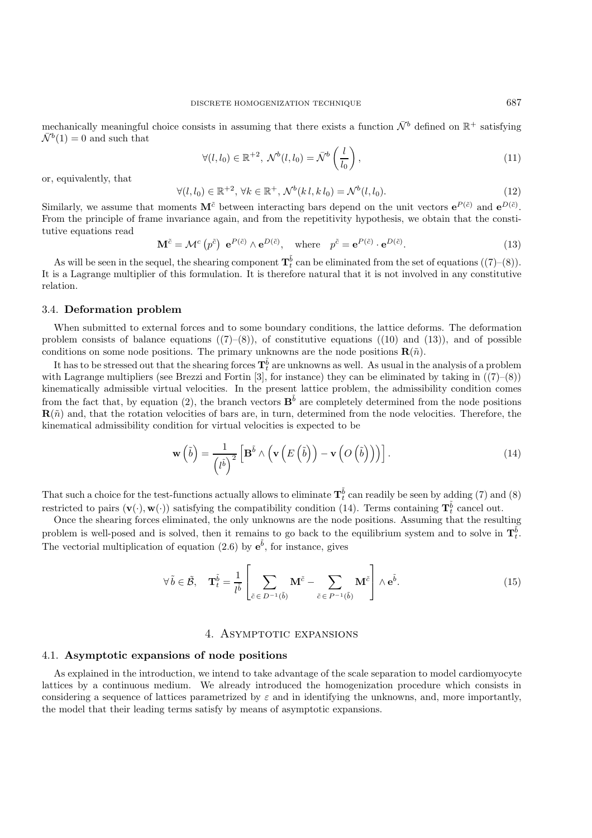mechanically meaningful choice consists in assuming that there exists a function  $\bar{N}^b$  defined on  $\mathbb{R}^+$  satisfying  $\bar{\mathcal{N}}^b(1) = 0$  and such that

$$
\forall (l, l_0) \in \mathbb{R}^{+2}, \ \mathcal{N}^b(l, l_0) = \bar{\mathcal{N}}^b\left(\frac{l}{l_0}\right),\tag{11}
$$

or, equivalently, that

$$
\forall (l, l_0) \in \mathbb{R}^{+2}, \forall k \in \mathbb{R}^+, \mathcal{N}^b(k \, l, k \, l_0) = \mathcal{N}^b(l, l_0). \tag{12}
$$

Similarly, we assume that moments  $M^{\tilde{c}}$  between interacting bars depend on the unit vectors  $e^{P(\tilde{c})}$  and  $e^{D(\tilde{c})}$ . From the principle of frame invariance again, and from the repetitivity hypothesis, we obtain that the constitutive equations read

$$
\mathbf{M}^{\tilde{c}} = \mathcal{M}^c \left( p^{\tilde{c}} \right) \mathbf{e}^{P(\tilde{c})} \wedge \mathbf{e}^{D(\tilde{c})}, \quad \text{where} \quad p^{\tilde{c}} = \mathbf{e}^{P(\tilde{c})} \cdot \mathbf{e}^{D(\tilde{c})}. \tag{13}
$$

As will be seen in the sequel, the shearing component  $\mathbf{T}_{\theta}^{\tilde{b}}$  can be eliminated from the set of equations  $((7)-(8))$ . It is a Lagrange multiplier of this formulation. It is therefore natural that it is not involved in any constitutive relation.

# 3.4. **Deformation problem**

When submitted to external forces and to some boundary conditions, the lattice deforms. The deformation problem consists of balance equations  $((7)-(8))$ , of constitutive equations  $((10)$  and  $(13))$ , and of possible conditions on some node positions. The primary unknowns are the node positions  $\mathbf{R}(\tilde{n})$ .

It has to be stressed out that the shearing forces  $T_t^{\tilde{b}}$  are unknowns as well. As usual in the analysis of a problem<br>the Lagrange multipliers (see Brezzi and Fertin [3], for instance) they can be eliminated by takin with Lagrange multipliers (see Brezzi and Fortin [3], for instance) they can be eliminated by taking in  $((7)-(8))$ kinematically admissible virtual velocities. In the present lattice problem, the admissibility condition comes from the fact that, by equation (2), the branch vectors  $\mathbf{B}^{\bar{b}}$  are completely determined from the node positions  $\mathbf{R}(\tilde{n})$  and, that the rotation velocities of bars are, in turn, determined from the node velocities. Therefore, the kinematical admissibility condition for virtual velocities is expected to be

$$
\mathbf{w}\left(\tilde{b}\right) = \frac{1}{\left(i^{\tilde{b}}\right)^2} \left[\mathbf{B}^{\tilde{b}} \wedge \left(\mathbf{v}\left(E\left(\tilde{b}\right)\right) - \mathbf{v}\left(O\left(\tilde{b}\right)\right)\right)\right].
$$
 (14)

That such a choice for the test-functions actually allows to eliminate  $\mathbf{T}_{b}^{\tilde{b}}$  can readily be seen by adding (7) and (8) restricted to pairs  $(\mathbf{v}(\cdot), \mathbf{w}(\cdot))$  satisfying the compatibility condition (14). Terms containing  $\mathbf{T}_b^{\tilde{b}}$  cancel out.<br>Once the shearing forces eliminated, the only unknowns are the node positions. Assuming th

Once the shearing forces eliminated, the only unknowns are the node positions. Assuming that the resulting problem is well-posed and is solved, then it remains to go back to the equilibrium system and to solve in  $\mathbf{T}_{t}^{\tilde{b}}$ . The vectorial multiplication of equation  $(2.6)$  by  $e^{\tilde{b}}$ , for instance, gives

$$
\forall \tilde{b} \in \tilde{\mathcal{B}}, \quad \mathbf{T}_t^{\tilde{b}} = \frac{1}{l^{\tilde{b}}} \left[ \sum_{\tilde{c} \in D^{-1}(\tilde{b})} \mathbf{M}^{\tilde{c}} - \sum_{\tilde{c} \in P^{-1}(\tilde{b})} \mathbf{M}^{\tilde{c}} \right] \wedge \mathbf{e}^{\tilde{b}}.
$$
 (15)

## 4. ASYMPTOTIC EXPANSIONS

#### 4.1. **Asymptotic expansions of node positions**

As explained in the introduction, we intend to take advantage of the scale separation to model cardiomyocyte lattices by a continuous medium. We already introduced the homogenization procedure which consists in considering a sequence of lattices parametrized by  $\varepsilon$  and in identifying the unknowns, and, more importantly, the model that their leading terms satisfy by means of asymptotic expansions.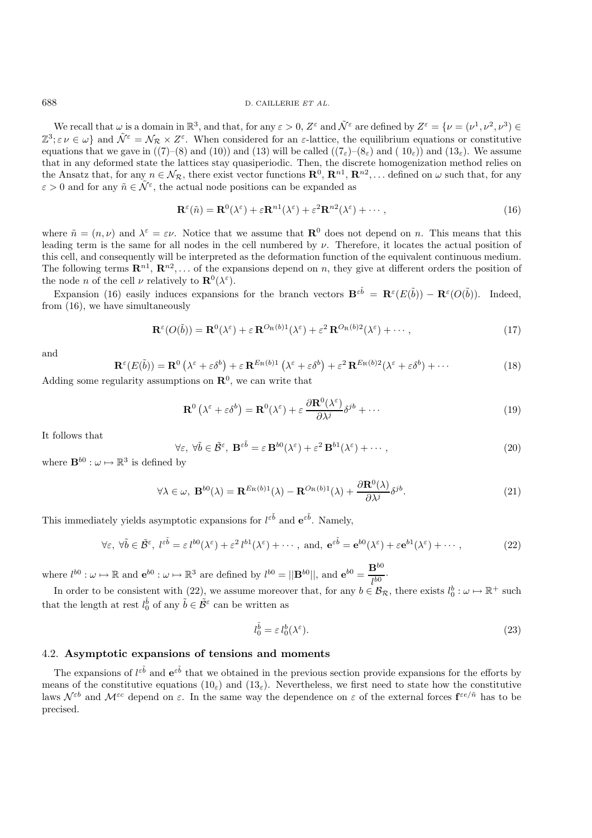We recall that  $\omega$  is a domain in  $\mathbb{R}^3$ , and that, for any  $\varepsilon > 0$ ,  $Z^{\varepsilon}$  and  $\tilde{\mathcal{N}}^{\varepsilon}$  are defined by  $Z^{\varepsilon} = {\nu = (\nu^1, \nu^2, \nu^3) \in \mathbb{R}^3}$  $\mathbb{Z}^3$ ;  $\varepsilon \nu \in \omega$  and  $\tilde{\mathcal{N}}^{\varepsilon} = \mathcal{N}_{\mathcal{R}} \times \mathcal{Z}^{\varepsilon}$ . When considered for an  $\varepsilon$ -lattice, the equilibrium equations or constitutive equations that we gave in ((7)–(8) and (10)) and (13) will be called (( $7<sub>\varepsilon</sub>$ )–( $8<sub>\varepsilon</sub>$ ) and (10<sub> $\varepsilon$ </sub>)) and (13<sub> $\varepsilon$ </sub>). We assume that in any deformed state the lattices stay quasiperiodic. Then, the discrete homogenization method relies on the Ansatz that, for any  $n \in \mathcal{N}_{\mathcal{R}}$ , there exist vector functions  $\mathbf{R}^0$ ,  $\mathbf{R}^{n1}$ ,  $\mathbf{R}^{n2}$ ,... defined on  $\omega$  such that, for any  $\varepsilon > 0$  and for any  $\tilde{n} \in \mathcal{N}^{\varepsilon}$ , the actual node positions can be expanded as

$$
\mathbf{R}^{\varepsilon}(\tilde{n}) = \mathbf{R}^{0}(\lambda^{\varepsilon}) + \varepsilon \mathbf{R}^{n}(\lambda^{\varepsilon}) + \varepsilon^{2} \mathbf{R}^{n}(\lambda^{\varepsilon}) + \cdots,
$$
\n(16)

where  $\tilde{n} = (n, \nu)$  and  $\lambda^{\varepsilon} = \varepsilon \nu$ . Notice that we assume that  $\mathbb{R}^{0}$  does not depend on n. This means that this leading term is the same for all nodes in the cell numbered by  $\nu$ . Therefore, it locates the actual position of this cell, and consequently will be interpreted as the deformation function of the equivalent continuous medium. The following terms  $\mathbb{R}^{n_1}, \mathbb{R}^{n_2}, \ldots$  of the expansions depend on n, they give at different orders the position of the node *n* of the cell  $\nu$  relatively to  $\mathbf{R}^0(\lambda^{\varepsilon})$ .

Expansion (16) easily induces expansions for the branch vectors  $\mathbf{B}^{\varepsilon \tilde{b}} = \mathbf{R}^{\varepsilon}(E(\tilde{b})) - \mathbf{R}^{\varepsilon}(O(\tilde{b}))$ . Indeed, from (16), we have simultaneously

$$
\mathbf{R}^{\varepsilon}(O(\tilde{b})) = \mathbf{R}^{0}(\lambda^{\varepsilon}) + \varepsilon \mathbf{R}^{O_{\mathrm{R}}(b)1}(\lambda^{\varepsilon}) + \varepsilon^{2} \mathbf{R}^{O_{\mathrm{R}}(b)2}(\lambda^{\varepsilon}) + \cdots,
$$
\n(17)

and

$$
\mathbf{R}^{\varepsilon}(E(\tilde{b})) = \mathbf{R}^{0} \left( \lambda^{\varepsilon} + \varepsilon \delta^{b} \right) + \varepsilon \mathbf{R}^{E_{\mathrm{R}}(b)1} \left( \lambda^{\varepsilon} + \varepsilon \delta^{b} \right) + \varepsilon^{2} \mathbf{R}^{E_{\mathrm{R}}(b)2} (\lambda^{\varepsilon} + \varepsilon \delta^{b}) + \cdots
$$
 (18)  
Adding some regularity assumptions on  $\mathbf{R}^{0}$ , we can write that

$$
\mathbf{R}^{0}\left(\lambda^{\varepsilon}+\varepsilon\delta^{b}\right)=\mathbf{R}^{0}(\lambda^{\varepsilon})+\varepsilon\,\frac{\partial\mathbf{R}^{0}(\lambda^{\varepsilon})}{\partial\lambda^{j}}\delta^{jb}+\cdots\tag{19}
$$

It follows that

$$
\forall \varepsilon, \ \forall \tilde{b} \in \tilde{\mathcal{B}}^{\varepsilon}, \ \mathbf{B}^{\varepsilon \tilde{b}} = \varepsilon \mathbf{B}^{b0} (\lambda^{\varepsilon}) + \varepsilon^2 \mathbf{B}^{b1} (\lambda^{\varepsilon}) + \cdots,
$$
\n(20)

where  $\mathbf{B}^{b0} : \omega \mapsto \mathbb{R}^3$  is defined by

$$
\forall \lambda \in \omega, \ \mathbf{B}^{b0}(\lambda) = \mathbf{R}^{E_{\mathrm{R}}(b)1}(\lambda) - \mathbf{R}^{O_{\mathrm{R}}(b)1}(\lambda) + \frac{\partial \mathbf{R}^{0}(\lambda)}{\partial \lambda^{j}} \delta^{jb}.
$$
 (21)

This immediately yields asymptotic expansions for  $l^{\varepsilon\tilde{b}}$  and  $e^{\varepsilon\tilde{b}}$ . Namely,

$$
\forall \varepsilon, \ \forall \tilde{b} \in \tilde{\mathcal{B}}^{\varepsilon}, \ l^{\varepsilon \tilde{b}} = \varepsilon \ l^{b0}(\lambda^{\varepsilon}) + \varepsilon^2 \ l^{b1}(\lambda^{\varepsilon}) + \cdots, \text{ and, } \mathbf{e}^{\varepsilon \tilde{b}} = \mathbf{e}^{b0}(\lambda^{\varepsilon}) + \varepsilon \mathbf{e}^{b1}(\lambda^{\varepsilon}) + \cdots,
$$
 (22)

where  $l^{b0} : \omega \mapsto \mathbb{R}$  and  $\mathbf{e}^{b0} : \omega \mapsto \mathbb{R}^3$  are defined by  $l^{b0} = ||\mathbf{B}^{b0}||$ , and  $\mathbf{e}^{b0} = \frac{\mathbf{B}^{b0}}{l^{b0}}$ .<br>In order to be consistent with (22), we assume moreover that, for any  $b \in \mathcal{B}_{\mathcal{R}}$ 

In order to be consistent with (22), we assume moreover that, for any  $b \in \mathcal{B}_{\mathcal{R}}$ , there exists  $l_0^b : \omega \mapsto \mathbb{R}^+$  such it the langth of next  $l_0^b$  of any  $\tilde{l} \in \tilde{\mathcal{B}}_{\mathcal{R}}$  are has written as that the length at rest  $l_0^{\tilde{b}}$  of any  $\tilde{b} \in \tilde{\mathcal{B}}^{\varepsilon}$  can be written as

$$
l_0^{\tilde{b}} = \varepsilon \, l_0^b(\lambda^{\varepsilon}).\tag{23}
$$

# 4.2. **Asymptotic expansions of tensions and moments**

The expansions of  $l^{\varepsilon\tilde{b}}$  and  $e^{\varepsilon\tilde{b}}$  that we obtained in the previous section provide expansions for the efforts by<br>gaps of the constitutive equations (10) and (13). Nevertheless, we first need to state how means of the constitutive equations  $(10<sub>\epsilon</sub>)$  and  $(13<sub>\epsilon</sub>)$ . Nevertheless, we first need to state how the constitutive laws  $\mathcal{N}^{\varepsilon b}$  and  $\mathcal{M}^{\varepsilon c}$  depend on  $\varepsilon$ . In the same way the dependence on  $\varepsilon$  of the external forces  $\mathbf{f}^{\varepsilon e/\tilde{n}}$  has to be precised.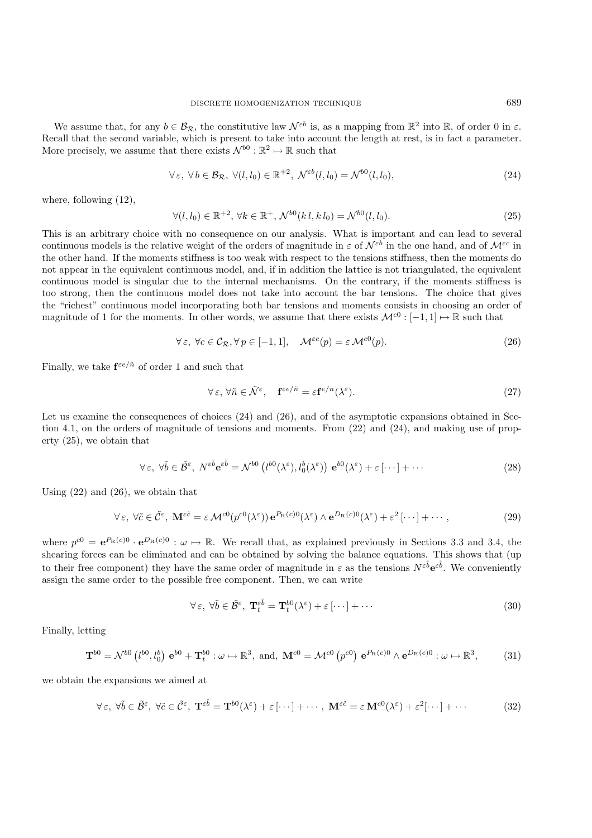We assume that, for any  $b \in \mathcal{B}_{\mathcal{R}}$ , the constitutive law  $\mathcal{N}^{\varepsilon b}$  is, as a mapping from  $\mathbb{R}^2$  into  $\mathbb{R}$ , of order 0 in  $\varepsilon$ . Recall that the second variable, which is present to take into account the length at rest, is in fact a parameter. More precisely, we assume that there exists  $\mathcal{N}^{b0} : \mathbb{R}^2 \mapsto \mathbb{R}$  such that

$$
\forall \varepsilon, \forall b \in \mathcal{B}_{\mathcal{R}}, \ \forall (l, l_0) \in \mathbb{R}^{+2}, \ \mathcal{N}^{\varepsilon b}(l, l_0) = \mathcal{N}^{b0}(l, l_0), \tag{24}
$$

where, following (12),

$$
\forall (l, l_0) \in \mathbb{R}^{+2}, \forall k \in \mathbb{R}^+, \mathcal{N}^{b0}(k \, l, k \, l_0) = \mathcal{N}^{b0}(l, l_0). \tag{25}
$$

This is an arbitrary choice with no consequence on our analysis. What is important and can lead to several continuous models is the relative weight of the orders of magnitude in  $\varepsilon$  of  $\mathcal{N}^{\varepsilon b}$  in the one hand, and of  $\mathcal{M}^{\varepsilon c}$  in the other hand. If the moments stiffness is too weak with respect to the tensions stiffness, then the moments do not appear in the equivalent continuous model, and, if in addition the lattice is not triangulated, the equivalent continuous model is singular due to the internal mechanisms. On the contrary, if the moments stiffness is too strong, then the continuous model does not take into account the bar tensions. The choice that gives the "richest" continuous model incorporating both bar tensions and moments consists in choosing an order of magnitude of 1 for the moments. In other words, we assume that there exists  $\mathcal{M}^{c0} : [-1,1] \mapsto \mathbb{R}$  such that

$$
\forall \varepsilon, \ \forall c \in \mathcal{C}_{\mathcal{R}}, \forall p \in [-1, 1], \quad \mathcal{M}^{\varepsilon c}(p) = \varepsilon \mathcal{M}^{c0}(p). \tag{26}
$$

Finally, we take  $\mathbf{f}^{\varepsilon e/\tilde{n}}$  of order 1 and such that

$$
\forall \varepsilon, \forall \tilde{n} \in \tilde{\mathcal{N}}^{\varepsilon}, \quad \mathbf{f}^{\varepsilon e/\tilde{n}} = \varepsilon \mathbf{f}^{e/n} (\lambda^{\varepsilon}). \tag{27}
$$

Let us examine the consequences of choices (24) and (26), and of the asymptotic expansions obtained in Section 4.1, on the orders of magnitude of tensions and moments. From (22) and (24), and making use of property (25), we obtain that

$$
\forall \varepsilon, \ \forall \tilde{b} \in \tilde{\mathcal{B}}^{\varepsilon}, \ N^{\varepsilon \tilde{b}} \mathbf{e}^{\varepsilon \tilde{b}} = \mathcal{N}^{b0} \left( l^{b0} (\lambda^{\varepsilon}), l^{b}_{0} (\lambda^{\varepsilon}) \right) \mathbf{e}^{b0} (\lambda^{\varepsilon}) + \varepsilon [\cdots] + \cdots \tag{28}
$$

Using (22) and (26), we obtain that

$$
\forall \varepsilon, \ \forall \tilde{c} \in \tilde{\mathcal{C}}^{\varepsilon}, \ \mathbf{M}^{\varepsilon \tilde{c}} = \varepsilon \mathcal{M}^{c0}(p^{c0}(\lambda^{\varepsilon})) \mathbf{e}^{P_{\mathbf{R}}(c)0}(\lambda^{\varepsilon}) \wedge \mathbf{e}^{D_{\mathbf{R}}(c)0}(\lambda^{\varepsilon}) + \varepsilon^{2} [\cdots] + \cdots, \tag{29}
$$

where  $p^{c0} = e^{P_R(c)0} \cdot e^{D_R(c)0}$  :  $\omega \mapsto \mathbb{R}$ . We recall that, as explained previously in Sections 3.3 and 3.4, the shearing forces can be eliminated and can be obtained by solving the balance equations. This shows that (up to their free component) they have the same order of magnitude in  $\varepsilon$  as the tensions  $N^{\varepsilon \tilde{b}} e^{\varepsilon \tilde{b}}$ . We conveniently assign the same order to the possible free component. Then, we can write

$$
\forall \varepsilon, \ \forall \tilde{b} \in \tilde{\mathcal{B}}^{\varepsilon}, \ \mathbf{T}_{t}^{\varepsilon \tilde{b}} = \mathbf{T}_{t}^{b0}(\lambda^{\varepsilon}) + \varepsilon [\cdots] + \cdots \tag{30}
$$

Finally, letting

$$
\mathbf{T}^{b0} = \mathcal{N}^{b0} \left( l^{b0}, l_0^b \right) \mathbf{e}^{b0} + \mathbf{T}_t^{b0} : \omega \mapsto \mathbb{R}^3, \text{ and, } \mathbf{M}^{c0} = \mathcal{M}^{c0} \left( p^{c0} \right) \mathbf{e}^{P_{\mathbf{R}}(c)0} \wedge \mathbf{e}^{D_{\mathbf{R}}(c)0} : \omega \mapsto \mathbb{R}^3, \tag{31}
$$

we obtain the expansions we aimed at

$$
\forall \varepsilon, \ \forall \tilde{b} \in \tilde{\mathcal{B}}^{\varepsilon}, \ \forall \tilde{c} \in \tilde{\mathcal{C}}^{\varepsilon}, \ \mathbf{T}^{\varepsilon \tilde{b}} = \mathbf{T}^{b0}(\lambda^{\varepsilon}) + \varepsilon [\cdots] + \cdots, \ \mathbf{M}^{\varepsilon \tilde{c}} = \varepsilon \mathbf{M}^{c0}(\lambda^{\varepsilon}) + \varepsilon^{2} [\cdots] + \cdots \tag{32}
$$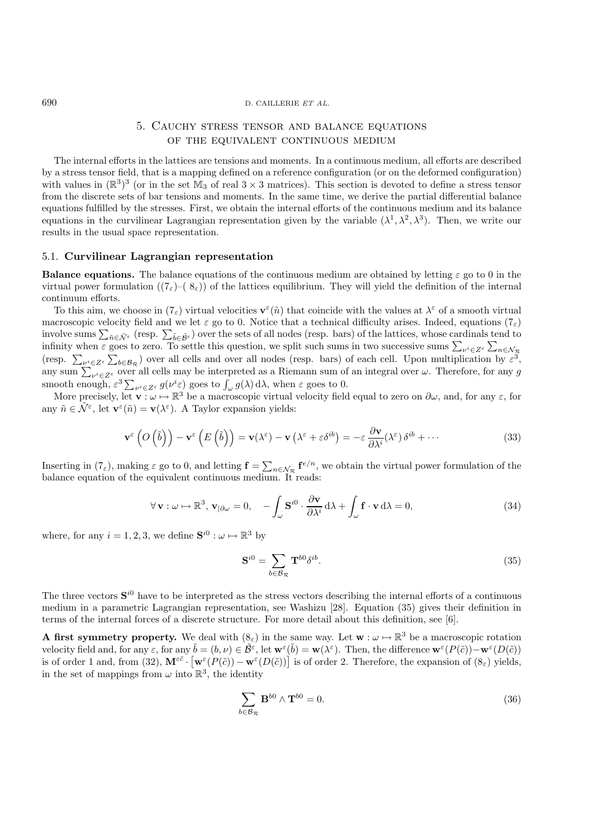# 5. Cauchy stress tensor and balance equations OF THE EQUIVALENT CONTINUOUS MEDIUM

The internal efforts in the lattices are tensions and moments. In a continuous medium, all efforts are described by a stress tensor field, that is a mapping defined on a reference configuration (or on the deformed configuration) with values in  $(\mathbb{R}^3)^3$  (or in the set  $\mathbb{M}_3$  of real  $3 \times 3$  matrices). This section is devoted to define a stress tensor from the discrete sets of bar tensions and moments. In the same time, we derive the partial differential balance equations fulfilled by the stresses. First, we obtain the internal efforts of the continuous medium and its balance equations in the curvilinear Lagrangian representation given by the variable  $(\lambda^1, \lambda^2, \lambda^3)$ . Then, we write our results in the usual space representation.

## 5.1. **Curvilinear Lagrangian representation**

**Balance equations.** The balance equations of the continuous medium are obtained by letting  $\varepsilon$  go to 0 in the virtual power formulation  $((7_{\varepsilon})-(8_{\varepsilon}))$  of the lattices equilibrium. They will yield the definition of the internal continuum efforts.

To this aim, we choose in  $(7<sub>\epsilon</sub>)$  virtual velocities  $\mathbf{v}^{\epsilon}(\tilde{n})$  that coincide with the values at  $\lambda^{\epsilon}$  of a smooth virtual macroscopic velocity field and we let  $\varepsilon$  go to 0. Notice that a technical difficulty arises. Indeed, equations  $(7_{\varepsilon})$ involve sums  $\sum_{\tilde{n}\in\tilde{\mathcal{N}}^{\varepsilon}}$  (resp.  $\sum_{\tilde{b}\in\tilde{\mathcal{B}}^{\varepsilon}}$ ) over the sets of all nodes (resp. bars) of the lattices, whose cardinals tend to infinity when  $\varepsilon$  goos to zero. To settle this question, we s infinity when  $\varepsilon$  goes to zero. To settle this question, we split such sums in two successive sums  $\sum_{\nu^i \in Z^{\varepsilon}} \sum_{\nu^i \in Z^{\varepsilon}}$ (resp.  $\sum_{\nu^i \in Z^{\varepsilon}} \sum_{b \in \mathcal{B}_R} \sum_{b \in \mathcal{B}_R}$ ) over all cells and over all nodes (resp. bars) of each cell. Upon multiplication by  $\varepsilon^3$ , any sum  $\sum_{\nu^i \in Z^{\varepsilon}} \sum_{b \in \mathcal{B}_R}$ ) over all cells may be interpret smooth enough,  $\varepsilon^3 \sum_{\nu^i \in Z^{\varepsilon}} g(\nu^i \varepsilon)$  goes to  $\int_{\omega} g(\lambda) d\lambda$ , when  $\varepsilon$  goes to 0.<br>More precisely let  $\mathbf{v}: \omega \mapsto \mathbb{R}^3$  be a macroscopic virtual velocity field

More precisely, let  $\mathbf{v} : \omega \mapsto \mathbb{R}^3$  be a macroscopic virtual velocity field equal to zero on  $\partial \omega$ , and, for any  $\varepsilon$ , for any  $\tilde{n} \in \tilde{\mathcal{N}}^{\varepsilon}$ , let  $\mathbf{v}^{\varepsilon}(\tilde{n}) = \mathbf{v}(\lambda^{\varepsilon})$ . A Taylor expansion yields:

$$
\mathbf{v}^{\varepsilon}\left(O\left(\tilde{b}\right)\right)-\mathbf{v}^{\varepsilon}\left(E\left(\tilde{b}\right)\right)=\mathbf{v}(\lambda^{\varepsilon})-\mathbf{v}\left(\lambda^{\varepsilon}+\varepsilon\delta^{ib}\right)=-\varepsilon\frac{\partial\mathbf{v}}{\partial\lambda^{i}}(\lambda^{\varepsilon})\delta^{ib}+\cdots
$$
\n(33)

Inserting in  $(7_{\varepsilon})$ , making  $\varepsilon$  go to 0, and letting  $\mathbf{f} = \sum_{n \in \mathcal{N}_{\mathcal{R}}} \mathbf{f}^{e/n}$ , we obtain the virtual power formulation of the balance equation of the equivalent continuous medium. It reads:

$$
\forall \mathbf{v}: \omega \mapsto \mathbb{R}^3, \mathbf{v}_{|\partial \omega} = 0, \quad -\int_{\omega} \mathbf{S}^{i0} \cdot \frac{\partial \mathbf{v}}{\partial \lambda^i} d\lambda + \int_{\omega} \mathbf{f} \cdot \mathbf{v} d\lambda = 0,
$$
 (34)

where, for any  $i = 1, 2, 3$ , we define  $S^{i0}$  :  $\omega \mapsto \mathbb{R}^3$  by

$$
\mathbf{S}^{i0} = \sum_{b \in \mathcal{B}_{\mathcal{R}}} \mathbf{T}^{b0} \delta^{ib}.
$$
 (35)

The three vectors **S**i<sup>0</sup> have to be interpreted as the stress vectors describing the internal efforts of a continuous medium in a parametric Lagrangian representation, see Washizu [28]. Equation (35) gives their definition in terms of the internal forces of a discrete structure. For more detail about this definition, see [6].

**A first symmetry property.** We deal with  $(8<sub>\varepsilon</sub>)$  in the same way. Let  $\mathbf{w} : \omega \mapsto \mathbb{R}^3$  be a macroscopic rotation velocity field and, for any  $\varepsilon$ , for any  $\tilde{b} = (b, \nu) \in \tilde{\mathcal{B}}^{\varepsilon}$ , let  $\mathbf{w}^{\varepsilon}(\tilde{b}) = \mathbf{w}(\lambda^{\varepsilon})$ . Then, the difference  $\mathbf{w}^{\varepsilon}(P(\tilde{c})) - \mathbf{w}^{\varepsilon}(D(\tilde{c}))$ is of order 1 and, from (32),  $\mathbf{M}^{\varepsilon\tilde{c}} \cdot \left[\mathbf{w}^{\varepsilon}(P(\tilde{c})) - \mathbf{w}^{\varepsilon}(D(\tilde{c}))\right]$  is of order 2. Therefore, the expansion of  $(8_{\varepsilon})$  yields, in the set of mappings from  $\omega$  into  $\mathbb{R}^3$ , the identity

$$
\sum_{b \in \mathcal{B}_{\mathcal{R}}} \mathbf{B}^{b0} \wedge \mathbf{T}^{b0} = 0. \tag{36}
$$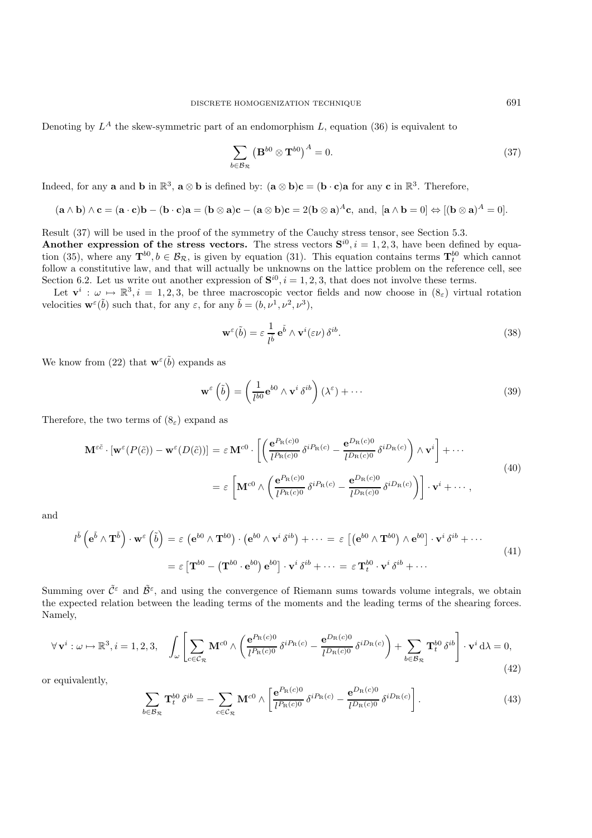Denoting by  $L^A$  the skew-symmetric part of an endomorphism L, equation (36) is equivalent to

$$
\sum_{b \in \mathcal{B}_{\mathcal{R}}} \left( \mathbf{B}^{b0} \otimes \mathbf{T}^{b0} \right)^A = 0. \tag{37}
$$

Indeed, for any **a** and **b** in  $\mathbb{R}^3$ ,  $\mathbf{a} \otimes \mathbf{b}$  is defined by:  $(\mathbf{a} \otimes \mathbf{b})\mathbf{c} = (\mathbf{b} \cdot \mathbf{c})\mathbf{a}$  for any **c** in  $\mathbb{R}^3$ . Therefore,

$$
(\mathbf{a} \wedge \mathbf{b}) \wedge \mathbf{c} = (\mathbf{a} \cdot \mathbf{c})\mathbf{b} - (\mathbf{b} \cdot \mathbf{c})\mathbf{a} = (\mathbf{b} \otimes \mathbf{a})\mathbf{c} - (\mathbf{a} \otimes \mathbf{b})\mathbf{c} = 2(\mathbf{b} \otimes \mathbf{a})^A \mathbf{c}, \text{ and, } [\mathbf{a} \wedge \mathbf{b} = 0] \Leftrightarrow [(\mathbf{b} \otimes \mathbf{a})^A = 0].
$$

Result (37) will be used in the proof of the symmetry of the Cauchy stress tensor, see Section 5.3. **Another expression of the stress vectors.** The stress vectors  $S^{i0}$ ,  $i = 1, 2, 3$ , have been defined by equa-

tion (35), where any  $\mathbf{T}^{b0}$ ,  $b \in \mathcal{B}_{\mathcal{R}}$ , is given by equation (31). This equation contains terms  $\mathbf{T}^{b0}_{t}$  which cannot follow a constitutive law, and that will actually be unknowns on the lattice problem follow a constitutive law, and that will actually be unknowns on the lattice problem on the reference cell, see Section 6.2. Let us write out another expression of  $S^{i0}$ ,  $i = 1, 2, 3$ , that does not involve these terms.

Let  $\mathbf{v}^i : \omega \mapsto \mathbb{R}^3$ ,  $i = 1, 2, 3$ , be three macroscopic vector fields and now choose in  $(8_{\varepsilon})$  virtual rotation velocities  $\mathbf{w}^{\varepsilon}(\tilde{b})$  such that, for any  $\varepsilon$ , for any  $\tilde{b} = (b, \nu^1, \nu^2, \nu^3)$ ,

$$
\mathbf{w}^{\varepsilon}(\tilde{b}) = \varepsilon \frac{1}{l^{\tilde{b}}} \mathbf{e}^{\tilde{b}} \wedge \mathbf{v}^{i}(\varepsilon \nu) \delta^{ib}.
$$
 (38)

We know from (22) that  $\mathbf{w}^{\varepsilon}(\tilde{b})$  expands as

$$
\mathbf{w}^{\varepsilon} \left( \tilde{b} \right) = \left( \frac{1}{l^{b0}} \mathbf{e}^{b0} \wedge \mathbf{v}^{i} \, \delta^{ib} \right) \left( \lambda^{\varepsilon} \right) + \cdots \tag{39}
$$

Therefore, the two terms of  $(8<sub>\varepsilon</sub>)$  expand as

$$
\mathbf{M}^{\varepsilon\tilde{c}} \cdot [\mathbf{w}^{\varepsilon}(P(\tilde{c})) - \mathbf{w}^{\varepsilon}(D(\tilde{c}))] = \varepsilon \mathbf{M}^{c0} \cdot \left[ \left( \frac{\mathbf{e}^{P_{\mathrm{R}}(c)0}}{l^{P_{\mathrm{R}}(c)0}} \delta^{i P_{\mathrm{R}}(c)} - \frac{\mathbf{e}^{D_{\mathrm{R}}(c)0}}{l^{D_{\mathrm{R}}(c)0}} \delta^{i D_{\mathrm{R}}(c)} \right) \wedge \mathbf{v}^{i} \right] + \cdots
$$
  

$$
= \varepsilon \left[ \mathbf{M}^{c0} \wedge \left( \frac{\mathbf{e}^{P_{\mathrm{R}}(c)0}}{l^{P_{\mathrm{R}}(c)0}} \delta^{i P_{\mathrm{R}}(c)} - \frac{\mathbf{e}^{D_{\mathrm{R}}(c)0}}{l^{D_{\mathrm{R}}(c)0}} \delta^{i D_{\mathrm{R}}(c)} \right) \right] \cdot \mathbf{v}^{i} + \cdots, \tag{40}
$$

and

$$
l^{\tilde{b}}\left(\mathbf{e}^{\tilde{b}}\wedge\mathbf{T}^{\tilde{b}}\right)\cdot\mathbf{w}^{\varepsilon}\left(\tilde{b}\right)=\varepsilon\left(\mathbf{e}^{b0}\wedge\mathbf{T}^{b0}\right)\cdot\left(\mathbf{e}^{b0}\wedge\mathbf{v}^{i}\delta^{ib}\right)+\cdots=\varepsilon\left[\left(\mathbf{e}^{b0}\wedge\mathbf{T}^{b0}\right)\wedge\mathbf{e}^{b0}\right]\cdot\mathbf{v}^{i}\delta^{ib}+\cdots
$$
\n
$$
=\varepsilon\left[\mathbf{T}^{b0}-\left(\mathbf{T}^{b0}\cdot\mathbf{e}^{b0}\right)\mathbf{e}^{b0}\right]\cdot\mathbf{v}^{i}\delta^{ib}+\cdots=\varepsilon\mathbf{T}_{t}^{b0}\cdot\mathbf{v}^{i}\delta^{ib}+\cdots
$$
\n(41)

Summing over  $\tilde{C}^{\varepsilon}$  and  $\tilde{\mathcal{B}}^{\varepsilon}$ , and using the convergence of Riemann sums towards volume integrals, we obtain the expected relation between the leading terms of the moments and the leading terms of the shearing forces. Namely,

$$
\forall \mathbf{v}^{i} : \omega \mapsto \mathbb{R}^{3}, i = 1, 2, 3, \quad \int_{\omega} \left[ \sum_{c \in \mathcal{C}_{\mathcal{R}}} \mathbf{M}^{c0} \wedge \left( \frac{\mathbf{e}^{P_{\mathcal{R}}(c)0}}{l^{P_{\mathcal{R}}(c)0}} \delta^{i P_{\mathcal{R}}(c)} - \frac{\mathbf{e}^{D_{\mathcal{R}}(c)0}}{l^{D_{\mathcal{R}}(c)0}} \delta^{i D_{\mathcal{R}}(c)} \right) + \sum_{b \in \mathcal{B}_{\mathcal{R}}} \mathbf{T}_{t}^{b0} \delta^{i b} \right] \cdot \mathbf{v}^{i} d\lambda = 0,
$$
\n(42)

or equivalently,

$$
\sum_{b \in \mathcal{B}_{\mathcal{R}}} \mathbf{T}_{t}^{b0} \delta^{ib} = -\sum_{c \in \mathcal{C}_{\mathcal{R}}} \mathbf{M}^{c0} \wedge \left[ \frac{\mathbf{e}^{P_{\mathrm{R}}(c)0}}{l^{P_{\mathrm{R}}(c)0}} \delta^{i P_{\mathrm{R}}(c)} - \frac{\mathbf{e}^{D_{\mathrm{R}}(c)0}}{l^{D_{\mathrm{R}}(c)0}} \delta^{i D_{\mathrm{R}}(c)} \right]. \tag{43}
$$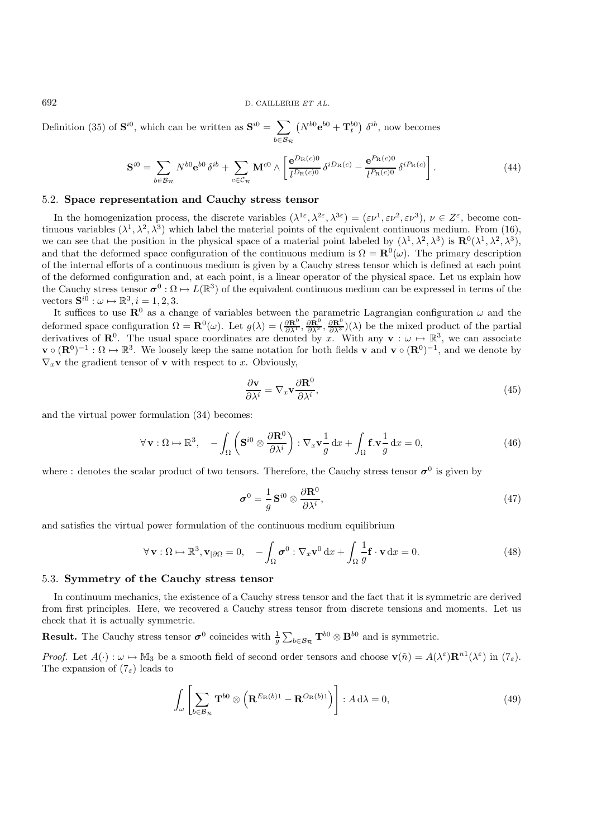Definition (35) of  $S^{i0}$ , which can be written as  $S^{i0} = \sum$ <sup>b</sup>∈B<sup>R</sup>  $(N^{b0}e^{b0} + \mathbf{T}_t^{b0}) \delta^{ib}$ , now becomes

$$
\mathbf{S}^{i0} = \sum_{b \in \mathcal{B}_{\mathcal{R}}} N^{b0} \mathbf{e}^{b0} \,\delta^{ib} + \sum_{c \in \mathcal{C}_{\mathcal{R}}} \mathbf{M}^{c0} \wedge \left[ \frac{\mathbf{e}^{D_{\mathrm{R}}(c)0}}{l^{D_{\mathrm{R}}(c)0}} \,\delta^{iD_{\mathrm{R}}(c)} - \frac{\mathbf{e}^{P_{\mathrm{R}}(c)0}}{l^{P_{\mathrm{R}}(c)0}} \,\delta^{iP_{\mathrm{R}}(c)} \right]. \tag{44}
$$

# 5.2. **Space representation and Cauchy stress tensor**

In the homogenization process, the discrete variables  $(\lambda^{1\epsilon}, \lambda^{2\epsilon}, \lambda^{3\epsilon})=(\epsilon\nu^1, \epsilon\nu^2, \epsilon\nu^3), \nu\in\mathbb{Z}^{\epsilon}$ , become continuous variables  $(\lambda^1, \lambda^2, \lambda^3)$  which label the material points of the equivalent continuous medium. From (16), we can see that the position in the physical space of a material point labeled by  $(\lambda^1, \lambda^2, \lambda^3)$  is  $\mathbf{R}^0(\lambda^1, \lambda^2, \lambda^3)$ , and that the deformed space configuration of the continuous medium is  $\Omega = \mathbf{R}^0(\omega)$ . The primary description of the internal efforts of a continuous medium is given by a Cauchy stress tensor which is defined at each point of the deformed configuration and, at each point, is a linear operator of the physical space. Let us explain how the Cauchy stress tensor  $\sigma^0 : \Omega \mapsto L(\mathbb{R}^3)$  of the equivalent continuous medium can be expressed in terms of the vectors  $\mathbf{S}^{i0} : \omega \mapsto \mathbb{R}^3, i = 1, 2, 3.$ 

It suffices to use  $\mathbb{R}^0$  as a change of variables between the parametric Lagrangian configuration  $\omega$  and the deformed space configuration  $\Omega = \mathbf{R}^0(\omega)$ . Let  $g(\lambda) = (\frac{\partial \mathbf{R}^0}{\partial \lambda^1}, \frac{\partial \mathbf{R}^0}{\partial \lambda^2}, \frac{\partial \mathbf{R}^0}{\partial \lambda^3})(\lambda)$  be the mixed product of the partial derivatives of  $\mathbf{R}^0$ . The usual space coordinates are deno derivatives of  $\mathbb{R}^0$ . The usual space coordinates are denoted by x. With any  $\mathbf{v} : \omega \mapsto \mathbb{R}^3$ , we can associate<br> $\mathbf{v} \circ (\mathbf{R}^0)^{-1} : \Omega \mapsto \mathbb{R}^3$ . We loosely keen the same notation for both fields **v** and  $\$ **v**  $\circ$  (**R**<sup>0</sup>)<sup>−1</sup> :  $\Omega$  →  $\mathbb{R}^3$ . We loosely keep the same notation for both fields **v** and **v**  $\circ$  (**R**<sup>0</sup>)<sup>−1</sup>, and we denote by  $\nabla_x$ **v** the gradient tensor of **v** with respect to x. Obviously,

$$
\frac{\partial \mathbf{v}}{\partial \lambda^i} = \nabla_x \mathbf{v} \frac{\partial \mathbf{R}^0}{\partial \lambda^i},\tag{45}
$$

and the virtual power formulation (34) becomes:

$$
\forall \mathbf{v}: \Omega \mapsto \mathbb{R}^3, \quad -\int_{\Omega} \left( \mathbf{S}^{i0} \otimes \frac{\partial \mathbf{R}^0}{\partial \lambda^i} \right) : \nabla_x \mathbf{v} \frac{1}{g} dx + \int_{\Omega} \mathbf{f} \cdot \mathbf{v} \frac{1}{g} dx = 0,
$$
\n(46)

where : denotes the scalar product of two tensors. Therefore, the Cauchy stress tensor  $\sigma^0$  is given by

$$
\boldsymbol{\sigma}^0 = \frac{1}{g} \mathbf{S}^{i0} \otimes \frac{\partial \mathbf{R}^0}{\partial \lambda^i},\tag{47}
$$

and satisfies the virtual power formulation of the continuous medium equilibrium

$$
\forall \mathbf{v}: \Omega \mapsto \mathbb{R}^3, \mathbf{v}_{|\partial\Omega} = 0, \quad -\int_{\Omega} \boldsymbol{\sigma}^0 : \nabla_x \mathbf{v}^0 dx + \int_{\Omega} \frac{1}{g} \mathbf{f} \cdot \mathbf{v} dx = 0.
$$
 (48)

### 5.3. **Symmetry of the Cauchy stress tensor**

In continuum mechanics, the existence of a Cauchy stress tensor and the fact that it is symmetric are derived from first principles. Here, we recovered a Cauchy stress tensor from discrete tensions and moments. Let us check that it is actually symmetric.

**Result.** The Cauchy stress tensor  $\sigma^0$  coincides with  $\frac{1}{g} \sum_{b \in \mathcal{B}_{\mathcal{R}}} \mathbf{T}^{b0} \otimes \mathbf{B}^{b0}$  and is symmetric. g

*Proof.* Let  $A(\cdot): \omega \mapsto \mathbb{M}_3$  be a smooth field of second order tensors and choose  $\mathbf{v}(\tilde{n}) = A(\lambda^{\varepsilon})\mathbf{R}^{n_1}(\lambda^{\varepsilon})$  in  $(7_{\varepsilon})$ . The expansion of  $(7<sub>\varepsilon</sub>)$  leads to

$$
\int_{\omega} \left[ \sum_{b \in \mathcal{B}_{\mathcal{R}}} \mathbf{T}^{b0} \otimes \left( \mathbf{R}^{E_{\mathrm{R}}(b)1} - \mathbf{R}^{O_{\mathrm{R}}(b)1} \right) \right] : A \, \mathrm{d}\lambda = 0,\tag{49}
$$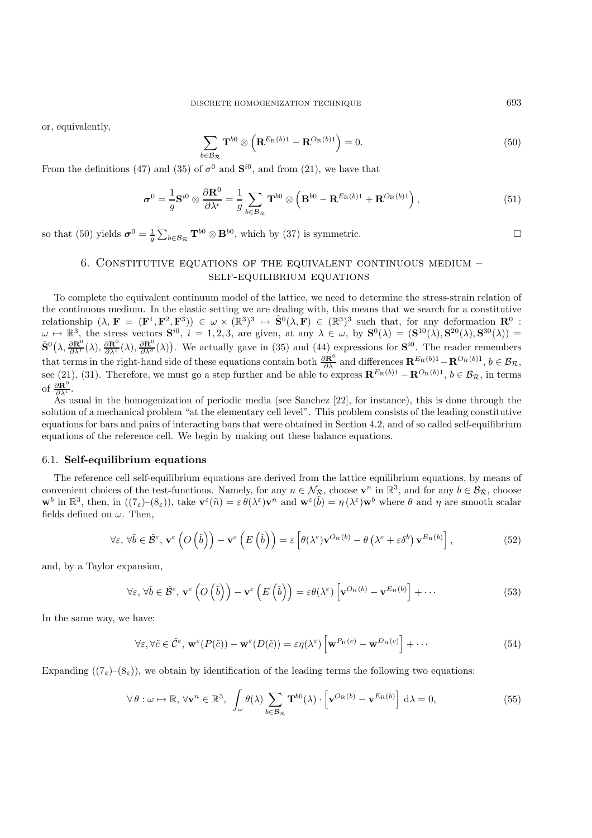or, equivalently,

$$
\sum_{b \in \mathcal{B}_{\mathcal{R}}} \mathbf{T}^{b0} \otimes \left( \mathbf{R}^{E_{\mathcal{R}}(b)1} - \mathbf{R}^{O_{\mathcal{R}}(b)1} \right) = 0. \tag{50}
$$

From the definitions (47) and (35) of  $\sigma^0$  and  $\mathbf{S}^{i0}$ , and from (21), we have that

$$
\boldsymbol{\sigma}^{0} = \frac{1}{g} \mathbf{S}^{i0} \otimes \frac{\partial \mathbf{R}^{0}}{\partial \lambda^{i}} = \frac{1}{g} \sum_{b \in \mathcal{B}_{\mathcal{R}}} \mathbf{T}^{b0} \otimes \left( \mathbf{B}^{b0} - \mathbf{R}^{E_{\mathrm{R}}(b)1} + \mathbf{R}^{O_{\mathrm{R}}(b)1} \right), \tag{51}
$$

so that (50) yields  $\boldsymbol{\sigma}^0 = \frac{1}{g}$  $\sum_{b \in \mathcal{B}_{\mathcal{R}}} \mathbf{T}^{b0} \otimes \mathbf{B}^{b0}$ , which by (37) is symmetric.

# 6. CONSTITUTIVE EQUATIONS OF THE EQUIVALENT CONTINUOUS MEDIUM  $$ self-equilibrium equations

To complete the equivalent continuum model of the lattice, we need to determine the stress-strain relation of the continuous medium. In the elastic setting we are dealing with, this means that we search for a constitutive relationship  $(\lambda, \mathbf{F} = (\mathbf{F}^1, \mathbf{F}^2, \mathbf{F}^3)) \in \omega \times (\mathbb{R}^3)^3 \mapsto \hat{\mathbf{S}}^0(\lambda, \mathbf{F}) \in (\mathbb{R}^3)^3$  such that, for any deformation  $\mathbf{R}^0$ :<br> $\omega \mapsto \mathbb{R}^3$  the stress vectors  $\mathbf{S}^{i0}$ ,  $i = 1, 2, 3$  are given at  $\omega \mapsto \mathbb{R}^3$ , the stress vectors  $\mathbf{S}^{i0}$ ,  $i = 1, 2, 3$ , are given, at any  $\lambda \in \omega$ , by  $\mathbf{S}^0(\lambda) = (\mathbf{S}^{10}(\lambda), \mathbf{S}^{20}(\lambda), \mathbf{S}^{30}(\lambda)) =$ <br> $\hat{\mathbf{S}}^0(\lambda, \frac{\partial \mathbf{R}^0}{\partial \lambda^1}(\lambda), \frac{\partial \mathbf{R}^0}{\partial \lambda^2}(\lambda))$ . We actua that terms in the right-hand side of these equations contain both  $\frac{\partial \mathbf{R}^0}{\partial \lambda}$  and differences  $\mathbf{R}^{E_R(b)1} - \mathbf{R}^{O_R(b)1}$ ,  $b \in \mathcal{B_R}$ ,<br>see (21) (21) Therefore, we must go a step further and be able to express see (21), (31). Therefore, we must go a step further and be able to express  $\mathbf{R}^{E_R(b)1} - \mathbf{R}^{O_R(b)1}$ ,  $b \in \mathcal{B}_R$ , in terms  $\mathbf{R}^B$ of  $\frac{\partial \mathbf{R}^0}{\partial \lambda^i}$ .<br>As u

As usual in the homogenization of periodic media (see Sanchez [22], for instance), this is done through the solution of a mechanical problem "at the elementary cell level". This problem consists of the leading constitutive equations for bars and pairs of interacting bars that were obtained in Section 4.2, and of so called self-equilibrium equations of the reference cell. We begin by making out these balance equations.

#### 6.1. **Self-equilibrium equations**

The reference cell self-equilibrium equations are derived from the lattice equilibrium equations, by means of convenient choices of the test-functions. Namely, for any  $n \in \mathcal{N}_{\mathcal{R}}$ , choose  $\mathbf{v}^n$  in  $\mathbb{R}^3$ , and for any  $b \in \mathcal{B}_{\mathcal{R}}$ , choose **w**<sup>b</sup> in  $\mathbb{R}^3$ , then, in  $((7_{\varepsilon})-(8_{\varepsilon}))$ , take  $\mathbf{v}^{\varepsilon}(\tilde{n})=\varepsilon \theta(\lambda^{\varepsilon})\mathbf{v}^n$  and  $\mathbf{w}^{\varepsilon}(\tilde{b})=\eta(\lambda^{\varepsilon})\mathbf{w}^b$  where  $\theta$  and  $\eta$  are smooth scalar fields defined on  $\omega$ . Then,

$$
\forall \varepsilon, \forall \tilde{b} \in \tilde{\mathcal{B}}^{\varepsilon}, \mathbf{v}^{\varepsilon} \left( O\left(\tilde{b}\right) \right) - \mathbf{v}^{\varepsilon} \left( E\left(\tilde{b}\right) \right) = \varepsilon \left[ \theta(\lambda^{\varepsilon}) \mathbf{v}^{O_{\mathrm{R}}(b)} - \theta \left( \lambda^{\varepsilon} + \varepsilon \delta^{b} \right) \mathbf{v}^{E_{\mathrm{R}}(b)} \right],\tag{52}
$$

and, by a Taylor expansion,

$$
\forall \varepsilon, \forall \tilde{b} \in \tilde{\mathcal{B}}^{\varepsilon}, \mathbf{v}^{\varepsilon} \left( O\left(\tilde{b}\right) \right) - \mathbf{v}^{\varepsilon} \left( E\left(\tilde{b}\right) \right) = \varepsilon \theta(\lambda^{\varepsilon}) \left[ \mathbf{v}^{O_{\mathrm{R}}(b)} - \mathbf{v}^{E_{\mathrm{R}}(b)} \right] + \cdots
$$
\n(53)

In the same way, we have:

$$
\forall \varepsilon, \forall \tilde{c} \in \tilde{\mathcal{C}}^{\varepsilon}, \mathbf{w}^{\varepsilon}(P(\tilde{c})) - \mathbf{w}^{\varepsilon}(D(\tilde{c})) = \varepsilon \eta(\lambda^{\varepsilon}) \left[ \mathbf{w}^{P_{\mathbf{R}}(c)} - \mathbf{w}^{D_{\mathbf{R}}(c)} \right] + \cdots
$$
\n(54)

Expanding  $((7<sub>\epsilon</sub>)- (8<sub>\epsilon</sub>))$ , we obtain by identification of the leading terms the following two equations:

$$
\forall \theta : \omega \mapsto \mathbb{R}, \forall \mathbf{v}^n \in \mathbb{R}^3, \int_{\omega} \theta(\lambda) \sum_{b \in \mathcal{B}_{\mathcal{R}}} \mathbf{T}^{b0}(\lambda) \cdot \left[ \mathbf{v}^{O_{\mathcal{R}}(b)} - \mathbf{v}^{E_{\mathcal{R}}(b)} \right] d\lambda = 0,
$$
 (55)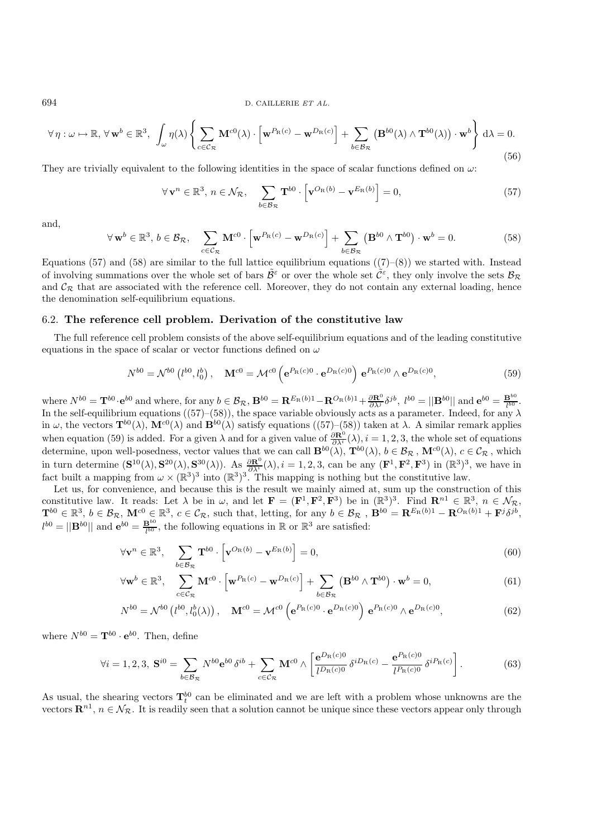$$
\forall \eta : \omega \mapsto \mathbb{R}, \forall \mathbf{w}^b \in \mathbb{R}^3, \int_{\omega} \eta(\lambda) \left\{ \sum_{c \in \mathcal{C}_{\mathcal{R}}} \mathbf{M}^{c0}(\lambda) \cdot \left[ \mathbf{w}^{P_{\mathcal{R}}(c)} - \mathbf{w}^{D_{\mathcal{R}}(c)} \right] + \sum_{b \in \mathcal{B}_{\mathcal{R}}} \left( \mathbf{B}^{b0}(\lambda) \wedge \mathbf{T}^{b0}(\lambda) \right) \cdot \mathbf{w}^b \right\} d\lambda = 0.
$$
\n(56)

They are trivially equivalent to the following identities in the space of scalar functions defined on  $\omega$ :

$$
\forall \mathbf{v}^n \in \mathbb{R}^3, n \in \mathcal{N}_{\mathcal{R}}, \quad \sum_{b \in \mathcal{B}_{\mathcal{R}}} \mathbf{T}^{b0} \cdot \left[ \mathbf{v}^{O_{\mathcal{R}}(b)} - \mathbf{v}^{E_{\mathcal{R}}(b)} \right] = 0,
$$
\n(57)

and,

$$
\forall \mathbf{w}^b \in \mathbb{R}^3, b \in \mathcal{B}_{\mathcal{R}}, \quad \sum_{c \in \mathcal{C}_{\mathcal{R}}} \mathbf{M}^{c0} \cdot \left[ \mathbf{w}^{P_{\mathcal{R}}(c)} - \mathbf{w}^{D_{\mathcal{R}}(c)} \right] + \sum_{b \in \mathcal{B}_{\mathcal{R}}} \left( \mathbf{B}^{b0} \wedge \mathbf{T}^{b0} \right) \cdot \mathbf{w}^b = 0.
$$
 (58)

Equations (57) and (58) are similar to the full lattice equilibrium equations ((7)–(8)) we started with. Instead of involving summations over the whole set of bars  $\tilde{\mathcal{B}}^{\varepsilon}$  or over the whole set  $\tilde{\mathcal{C}}^{\varepsilon}$ , they only involve the sets  $\mathcal{B}_{\mathcal{R}}$ and  $\mathcal{C}_{\mathcal{R}}$  that are associated with the reference cell. Moreover, they do not contain any external loading, hence the denomination self-equilibrium equations.

# 6.2. **The reference cell problem. Derivation of the constitutive law**

The full reference cell problem consists of the above self-equilibrium equations and of the leading constitutive equations in the space of scalar or vector functions defined on  $\omega$ 

$$
N^{b0} = \mathcal{N}^{b0} \left( l^{b0}, l_0^b \right), \quad \mathbf{M}^{c0} = \mathcal{M}^{c0} \left( e^{P_{\mathrm{R}}(c)0} \cdot e^{D_{\mathrm{R}}(c)0} \right) e^{P_{\mathrm{R}}(c)0} \wedge e^{D_{\mathrm{R}}(c)0}, \tag{59}
$$

where  $N^{b0} = \mathbf{T}^{b0} \cdot \mathbf{e}^{b0}$  and where, for any  $b \in \mathcal{B}_{\mathcal{R}}$ ,  $\mathbf{B}^{b0} = \mathbf{R}^{E_{\mathcal{R}}(b)1} - \mathbf{R}^{O_{\mathcal{R}}(b)1} + \frac{\partial \mathbf{R}^{0}}{\partial \lambda^{j}} \delta^{jb}$ ,  $l^{b0} = ||\mathbf{B}^{b0}||$  and  $\mathbf{e}^{b0} = \frac{\mathbf{B}^{b0}}{l^{b0}}$ .<br>In the In the self-equilibrium equations ((57)–(58)), the space variable obviously acts as a parameter. Indeed, for any  $\lambda$ <br>in  $\omega$ , the vectors  $\mathbf{T}^{b0}(\lambda)$ ,  $\mathbf{M}^{c0}(\lambda)$  and  $\mathbf{B}^{b0}(\lambda)$  satisfy equations ((57)–(58)) in  $\omega$ , the vectors  $\mathbf{T}^{b0}(\lambda)$ ,  $\mathbf{M}^{c0}(\lambda)$  and  $\mathbf{B}^{b0}(\lambda)$  satisfy equations ((57)–(58)) taken at  $\lambda$ . A similar remark applies when equation (59) is added. For a given  $\lambda$  and for a given value of  $\frac{\partial \mathbf{R}^0}{\partial \lambda^i}(\lambda)$ ,  $i = 1, 2, 3$ , the whole set of equations determine upon well posedness vector values that we can call  $\mathbf{R}^{b0}(\lambda)$ ,  $\mathbf$ determine, upon well-posedness, vector values that we can call  $\mathbf{B}^{b0}(\lambda)$ ,  $\mathbf{T}^{b0}(\lambda)$ ,  $b \in \mathcal{B}_{\mathcal{R}}$ ,  $\mathbf{M}^{c0}(\lambda)$ ,  $c \in \mathcal{C}_{\mathcal{R}}$ , which<br>in turn determine  $(\mathbf{S}^{10}(\lambda), \mathbf{S}^{20}(\lambda), \mathbf{S}^{30}(\lambda))$ ,  $\Lambda$ in turn determine  $(\mathbf{S}^{10}(\lambda), \mathbf{S}^{20}(\lambda), \mathbf{S}^{30}(\lambda))$ . As  $\frac{\partial \mathbf{R}^0}{\partial \lambda^i}(\lambda), i = 1, 2, 3$ , can be any  $(\mathbf{F}^1, \mathbf{F}^2, \mathbf{F}^3)$  in  $(\mathbb{R}^3)^3$ , we have in fact built a mapping from  $\omega \times (\mathbb{R}^3)^3$  into  $(\mathbb{R}^3)^3$ . This mapping is nothing but the constitutive law.

Let us, for convenience, and because this is the result we mainly aimed at, sum up the construction of this constitutive law. It reads: Let  $\lambda$  be in  $\omega$ , and let  $\mathbf{F} = (\mathbf{F}^1, \mathbf{F}^2, \mathbf{F}^3)$  be in  $(\mathbb{R}^3)^3$ . Find  $\mathbf{R}^{n_1} \in \mathbb{R}^3$ ,  $n \in \mathcal{N}_{\mathcal{R}}$ ,  $\mathbf{T}^{b0} \in \mathbb{R}^3$ ,  $h \in \mathcal{R}_{\mathbf{R}}$ ,  $\mathbf{M}^{c0} \in \mathbb$  $\mathbf{T}^{b0} \in \mathbb{R}^3$ ,  $b \in \mathcal{B}_{\mathcal{R}}$ ,  $\mathbf{M}^{c0} \in \mathbb{R}^3$ ,  $c \in \mathcal{C}_{\mathcal{R}}$ , such that, letting, for any  $b \in \mathcal{B}_{\mathcal{R}}$ ,  $\mathbf{B}^{b0} = \mathbf{R}^{E_{\mathcal{R}}(b)1} - \mathbf{R}^{O_{\mathcal{R}}(b)1} + \mathbf{F}^j \delta^{jb}$ ,<br> $b^{b0} = \mathbf{H}^{b0}$   $l^{b0} = ||\mathbf{B}^{b0}||$  and  $\mathbf{e}^{b0} = \frac{\mathbf{B}^{b0}}{l^{b0}}$ , the following equations in R or R<sup>3</sup> are satisfied:

$$
\forall \mathbf{v}^n \in \mathbb{R}^3, \quad \sum_{b \in \mathcal{B}_{\mathcal{R}}} \mathbf{T}^{b0} \cdot \left[ \mathbf{v}^{O_{\mathcal{R}}(b)} - \mathbf{v}^{E_{\mathcal{R}}(b)} \right] = 0,\tag{60}
$$

$$
\forall \mathbf{w}^b \in \mathbb{R}^3, \quad \sum_{c \in \mathcal{C}_{\mathcal{R}}} \mathbf{M}^{c0} \cdot \left[ \mathbf{w}^{P_{\mathcal{R}}(c)} - \mathbf{w}^{D_{\mathcal{R}}(c)} \right] + \sum_{b \in \mathcal{B}_{\mathcal{R}}} \left( \mathbf{B}^{b0} \wedge \mathbf{T}^{b0} \right) \cdot \mathbf{w}^b = 0, \tag{61}
$$

$$
N^{b0} = \mathcal{N}^{b0} \left( l^{b0}, l_0^b(\lambda) \right), \quad \mathbf{M}^{c0} = \mathcal{M}^{c0} \left( \mathbf{e}^{P_{\mathrm{R}}(c)0} \cdot \mathbf{e}^{D_{\mathrm{R}}(c)0} \right) \mathbf{e}^{P_{\mathrm{R}}(c)0} \wedge \mathbf{e}^{D_{\mathrm{R}}(c)0}, \tag{62}
$$

where  $N^{b0} = \mathbf{T}^{b0} \cdot \mathbf{e}^{b0}$ . Then, define

$$
\forall i = 1, 2, 3, \ \mathbf{S}^{i0} = \sum_{b \in \mathcal{B}_{\mathcal{R}}} N^{b0} \mathbf{e}^{b0} \, \delta^{ib} + \sum_{c \in \mathcal{C}_{\mathcal{R}}} \mathbf{M}^{c0} \wedge \left[ \frac{\mathbf{e}^{D_{\mathrm{R}}(c)0}}{l^{D_{\mathrm{R}}(c)0}} \, \delta^{iD_{\mathrm{R}}(c)} - \frac{\mathbf{e}^{P_{\mathrm{R}}(c)0}}{l^{P_{\mathrm{R}}(c)0}} \, \delta^{iP_{\mathrm{R}}(c)} \right]. \tag{63}
$$

As usual, the shearing vectors  $\mathbf{T}_{b}^{b0}$  can be eliminated and we are left with a problem whose unknowns are the vectors  $\mathbf{P}_{b1}^{n1}$ ,  $p \in \mathcal{N}_{c}$ . It is readily seen that a solution cannot be unique since these vectors  $\mathbf{R}^{n_1}, n \in \mathcal{N}_{\mathcal{R}}$ . It is readily seen that a solution cannot be unique since these vectors appear only through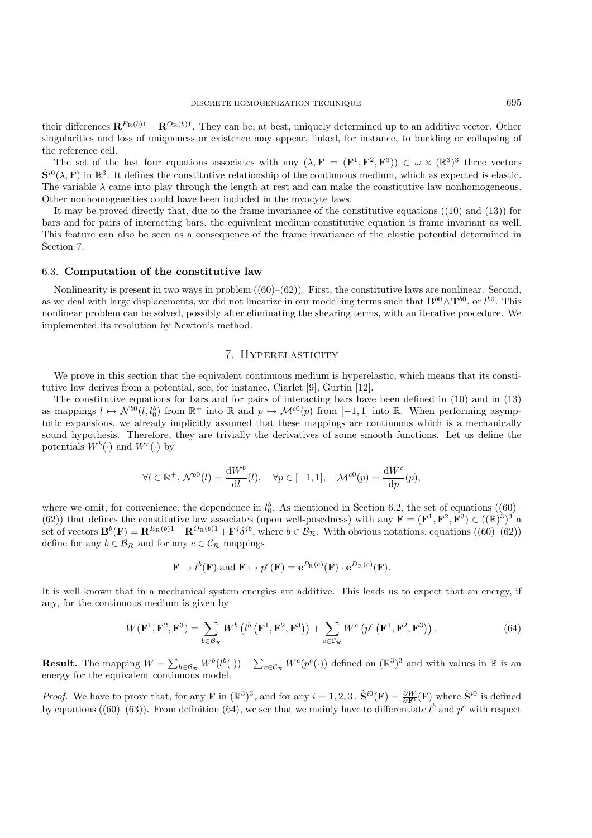their differences  $\mathbf{R}^{E_R(b)1} - \mathbf{R}^{O_R(b)1}$ . They can be, at best, uniquely determined up to an additive vector. Other singularities and loss of uniqueness or existence may appear, linked, for instance, to buckling or collapsing of the reference cell.

The set of the last four equations associates with any  $(\lambda, \mathbf{F} = (\mathbf{F}^1, \mathbf{F}^2, \mathbf{F}^3)) \in \omega \times (\mathbb{R}^3)^3$  three vectors  $\hat{\mathbf{S}}^{i0}(\lambda, \mathbf{F})$  in  $\mathbb{R}^3$ . It defines the constitutive relationship of the continuous medium, which as expected is elastic. The variable  $\lambda$  came into play through the length at rest and can make the constitutive law nonhomogeneous. Other nonhomogeneities could have been included in the myocyte laws.

It may be proved directly that, due to the frame invariance of the constitutive equations ((10) and (13)) for bars and for pairs of interacting bars, the equivalent medium constitutive equation is frame invariant as well. This feature can also be seen as a consequence of the frame invariance of the elastic potential determined in Section 7.

#### 6.3. **Computation of the constitutive law**

Nonlinearity is present in two ways in problem  $((60)–(62))$ . First, the constitutive laws are nonlinear. Second, as we deal with large displacements, we did not linearize in our modelling terms such that  $\mathbf{B}^{b0} \wedge \mathbf{T}^{b0}$ , or  $l^{b0}$ . This nonlinear problem can be solved possibly after eliminating the shearing terms, with an nonlinear problem can be solved, possibly after eliminating the shearing terms, with an iterative procedure. We implemented its resolution by Newton's method.

# 7. Hyperelasticity

We prove in this section that the equivalent continuous medium is hyperelastic, which means that its constitutive law derives from a potential, see, for instance, Ciarlet [9], Gurtin [12].

The constitutive equations for bars and for pairs of interacting bars have been defined in (10) and in (13) as mappings  $l \mapsto \mathcal{N}^{b0}(l, l_0^b)$  from  $\mathbb{R}^+$  into  $\mathbb{R}$  and  $p \mapsto \mathcal{M}^{c0}(p)$  from  $[-1, 1]$  into  $\mathbb{R}$ . When performing asymptotic expansions, we already implicitly assumed that these mappings are continuou totic expansions, we already implicitly assumed that these mappings are continuous which is a mechanically sound hypothesis. Therefore, they are trivially the derivatives of some smooth functions. Let us define the potentials  $W^b(\cdot)$  and  $W^c(\cdot)$  by

$$
\forall l \in \mathbb{R}^+, \mathcal{N}^{b0}(l) = \frac{\mathrm{d}W^b}{\mathrm{d}l}(l), \quad \forall p \in [-1, 1], \, -\mathcal{M}^{c0}(p) = \frac{\mathrm{d}W^c}{\mathrm{d}p}(p),
$$

where we omit, for convenience, the dependence in  $l_0^b$ . As mentioned in Section 6.2, the set of equations ((60)–<br>(62)) that defines the constitutive law associates (upon well-posedness) with any  $\mathbf{F} - (\mathbf{F}^1 \ \mathbf{F}$ (62)) that defines the constitutive law associates (upon well-posedness) with any  $\mathbf{F} = (\mathbf{F}^1, \mathbf{F}^2, \mathbf{F}^3) \in ((\mathbb{R})^3)^3$  a set of vectors  $\mathbf{B}^b(\mathbf{F}) = \mathbf{R}^{E_R(b)1} - \mathbf{R}^{O_R(b)1} + \mathbf{F}^j \delta^{jb}$ , where  $b \in \mathcal{B}_R$ . With obvious notations, equations ((60)–(62)) define for any  $b \in \mathcal{B}_{\mathcal{R}}$  and for any  $c \in \mathcal{C}_{\mathcal{R}}$  mappings

$$
\mathbf{F} \mapsto l^b(\mathbf{F})
$$
 and  $\mathbf{F} \mapsto p^c(\mathbf{F}) = e^{P_{\mathbf{R}}(c)}(\mathbf{F}) \cdot e^{D_{\mathbf{R}}(c)}(\mathbf{F}).$ 

It is well known that in a mechanical system energies are additive. This leads us to expect that an energy, if any, for the continuous medium is given by

$$
W(\mathbf{F}^1, \mathbf{F}^2, \mathbf{F}^3) = \sum_{b \in \mathcal{B}_{\mathcal{R}}} W^b \left( l^b \left( \mathbf{F}^1, \mathbf{F}^2, \mathbf{F}^3 \right) \right) + \sum_{c \in \mathcal{C}_{\mathcal{R}}} W^c \left( p^c \left( \mathbf{F}^1, \mathbf{F}^2, \mathbf{F}^3 \right) \right).
$$
 (64)

**Result.** The mapping  $W = \sum_{b \in \mathcal{B}_R} W^b(l^b(\cdot)) + \sum_{c \in \mathcal{C}_R} W^c(p^c(\cdot))$  defined on  $(\mathbb{R}^3)^3$  and with values in  $\mathbb R$  is an energy for the equivalent continuous model energy for the equivalent continuous model.

*Proof.* We have to prove that, for any **F** in  $(\mathbb{R}^3)^3$ , and for any  $i = 1, 2, 3$ ,  $\hat{\mathbf{S}}^{i0}(\mathbf{F}) = \frac{\partial W}{\partial \mathbf{F}^i}(\mathbf{F})$  where  $\hat{\mathbf{S}}^{i0}$  is defined<br>by constigue (60) (63)). From definition (64) we see that by equations ((60)–(63)). From definition (64), we see that we mainly have to differentiate  $l^b$  and  $p^c$  with respect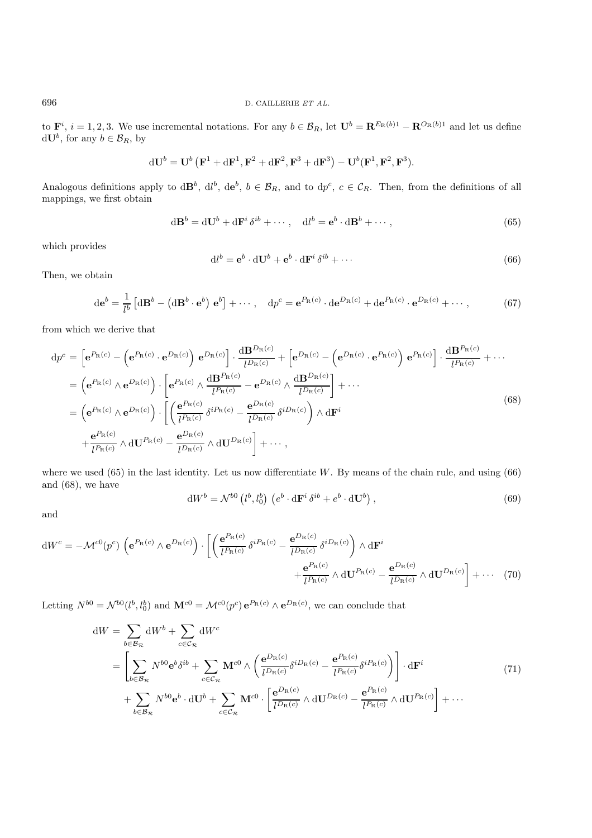to  $\mathbf{F}^i$ ,  $i = 1, 2, 3$ . We use incremental notations. For any  $b \in \mathcal{B}_R$ , let  $\mathbf{U}^b = \mathbf{R}^{E_R(b)1} - \mathbf{R}^{O_R(b)1}$  and let us define  $d\mathbf{H}^b$  for any  $b \in \mathcal{B}_R$ , by  $d\mathbf{U}^b$ , for any  $b \in \mathcal{B}_R$ , by

$$
d\mathbf{U}^b = \mathbf{U}^b \left( \mathbf{F}^1 + d\mathbf{F}^1, \mathbf{F}^2 + d\mathbf{F}^2, \mathbf{F}^3 + d\mathbf{F}^3 \right) - \mathbf{U}^b(\mathbf{F}^1, \mathbf{F}^2, \mathbf{F}^3).
$$

Analogous definitions apply to  $d\mathbf{B}^b$ ,  $d l^b$ ,  $d\mathbf{e}^b$ ,  $b \in \mathcal{B}_R$ , and to  $d p^c$ ,  $c \in \mathcal{C}_R$ . Then, from the definitions of all mannings we first obtain mappings, we first obtain

$$
d\mathbf{B}^{b} = d\mathbf{U}^{b} + d\mathbf{F}^{i} \delta^{ib} + \cdots, \quad dl^{b} = e^{b} \cdot dB^{b} + \cdots,
$$
\n(65)

which provides

$$
dl^{b} = \mathbf{e}^{b} \cdot d\mathbf{U}^{b} + \mathbf{e}^{b} \cdot d\mathbf{F}^{i} \delta^{ib} + \cdots
$$
 (66)

Then, we obtain

$$
\mathrm{d}\mathbf{e}^{b} = \frac{1}{l^{b}} \left[ \mathrm{d}\mathbf{B}^{b} - \left( \mathrm{d}\mathbf{B}^{b} \cdot \mathbf{e}^{b} \right) \mathbf{e}^{b} \right] + \cdots, \quad \mathrm{d}p^{c} = \mathbf{e}^{P_{\mathrm{R}}(c)} \cdot \mathrm{d}\mathbf{e}^{D_{\mathrm{R}}(c)} + \mathrm{d}\mathbf{e}^{P_{\mathrm{R}}(c)} \cdot \mathbf{e}^{D_{\mathrm{R}}(c)} + \cdots,
$$
 (67)

from which we derive that

$$
dp^{c} = \left[e^{P_{R}(c)} - \left(e^{P_{R}(c)} \cdot e^{D_{R}(c)}\right) e^{D_{R}(c)}\right] \cdot \frac{dB^{D_{R}(c)}}{l^{D_{R}(c)}} + \left[e^{D_{R}(c)} - \left(e^{D_{R}(c)} \cdot e^{P_{R}(c)}\right) e^{P_{R}(c)}\right] \cdot \frac{dB^{P_{R}(c)}}{l^{P_{R}(c)}} + \cdots
$$
  
\n
$$
= \left(e^{P_{R}(c)} \wedge e^{D_{R}(c)}\right) \cdot \left[e^{P_{R}(c)} \wedge \frac{dB^{P_{R}(c)}}{l^{P_{R}(c)}} - e^{D_{R}(c)} \wedge \frac{dB^{D_{R}(c)}}{l^{D_{R}(c)}}\right] + \cdots
$$
  
\n
$$
= \left(e^{P_{R}(c)} \wedge e^{D_{R}(c)}\right) \cdot \left[\left(\frac{e^{P_{R}(c)}}{l^{P_{R}(c)}} \delta^{i P_{R}(c)} - \frac{e^{D_{R}(c)}}{l^{D_{R}(c)}} \delta^{i D_{R}(c)}\right) \wedge dF^{i} + \frac{e^{P_{R}(c)}}{l^{P_{R}(c)}} \wedge dU^{P_{R}(c)} - \frac{e^{D_{R}(c)}}{l^{D_{R}(c)}} \wedge dU^{D_{R}(c)}\right] + \cdots,
$$
  
\n(68)

where we used  $(65)$  in the last identity. Let us now differentiate W. By means of the chain rule, and using  $(66)$ and (68), we have

$$
dW^{b} = \mathcal{N}^{b0} \left( l^{b}, l_{0}^{b} \right) \left( e^{b} \cdot d\mathbf{F}^{i} \delta^{ib} + e^{b} \cdot d\mathbf{U}^{b} \right), \tag{69}
$$

and

$$
dW^{c} = -\mathcal{M}^{c0}(p^{c}) \left( e^{P_{R}(c)} \wedge e^{D_{R}(c)} \right) \cdot \left[ \left( \frac{e^{P_{R}(c)}}{l^{P_{R}(c)}} \delta^{i P_{R}(c)} - \frac{e^{D_{R}(c)}}{l^{D_{R}(c)}} \delta^{i D_{R}(c)} \right) \wedge d\mathbf{F}^{i} \right] + \frac{e^{P_{R}(c)}}{l^{P_{R}(c)}} \wedge d\mathbf{U}^{P_{R}(c)} - \frac{e^{D_{R}(c)}}{l^{D_{R}(c)}} \wedge d\mathbf{U}^{D_{R}(c)} \right] + \cdots (70)
$$

Letting  $N^{b0} = \mathcal{N}^{b0}(l^b, l_0^b)$  and  $\mathbf{M}^{c0} = \mathcal{M}^{c0}(p^c) e^{P_R(c)} \wedge e^{D_R(c)}$ , we can conclude that

$$
dW = \sum_{b \in B_{\mathcal{R}}} dW^{b} + \sum_{c \in C_{\mathcal{R}}} dW^{c}
$$
  
= 
$$
\left[ \sum_{b \in B_{\mathcal{R}}} N^{b0} e^{b} \delta^{ib} + \sum_{c \in C_{\mathcal{R}}} \mathbf{M}^{c0} \wedge \left( \frac{e^{D_{\mathcal{R}}(c)}}{l^{D_{\mathcal{R}}(c)}} \delta^{iD_{\mathcal{R}}(c)} - \frac{e^{P_{\mathcal{R}}(c)}}{l^{P_{\mathcal{R}}(c)}} \delta^{iP_{\mathcal{R}}(c)} \right) \right] \cdot d\mathbf{F}^{i}
$$
  
+ 
$$
\sum_{b \in B_{\mathcal{R}}} N^{b0} e^{b} \cdot d\mathbf{U}^{b} + \sum_{c \in C_{\mathcal{R}}} \mathbf{M}^{c0} \cdot \left[ \frac{e^{D_{\mathcal{R}}(c)}}{l^{D_{\mathcal{R}}(c)}} \wedge d\mathbf{U}^{D_{\mathcal{R}}(c)} - \frac{e^{P_{\mathcal{R}}(c)}}{l^{P_{\mathcal{R}}(c)}} \wedge d\mathbf{U}^{P_{\mathcal{R}}(c)} \right] + \cdots
$$
(71)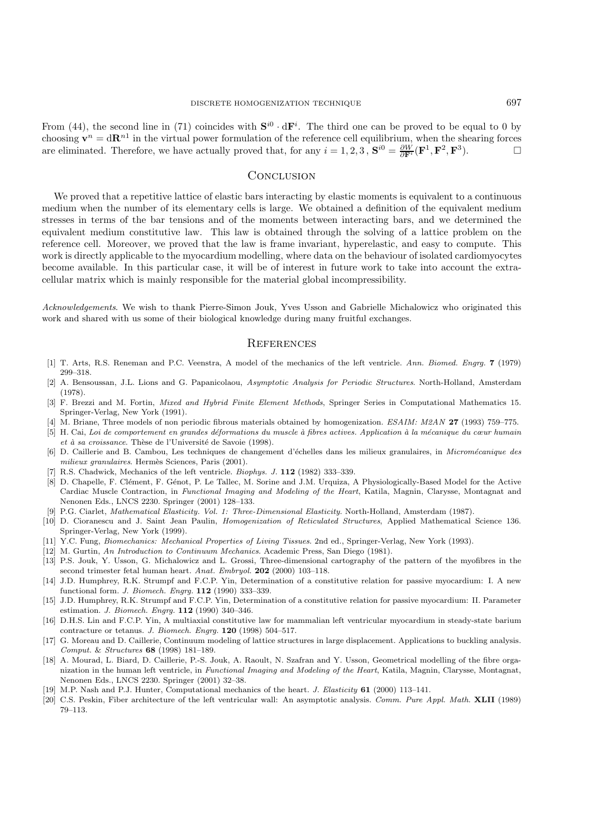From (44), the second line in (71) coincides with  $S^{i0} \cdot dF^i$ . The third one can be proved to be equal to 0 by choosing  $\mathbf{v}^n = d\mathbf{R}^{n_1}$  in the virtual power formulation of the reference cell equilibrium, when the shearing forces are eliminated. Therefore, we have actually proved that, for any  $i = 1, 2, 3$ ,  $\mathbf{S}^{i0} = \frac{\partial W}{\partial \mathbf{F}^i}(\mathbf{F}^1, \mathbf{F}^2, \mathbf{F}^3)$ . □

# **CONCLUSION**

We proved that a repetitive lattice of elastic bars interacting by elastic moments is equivalent to a continuous medium when the number of its elementary cells is large. We obtained a definition of the equivalent medium stresses in terms of the bar tensions and of the moments between interacting bars, and we determined the equivalent medium constitutive law. This law is obtained through the solving of a lattice problem on the reference cell. Moreover, we proved that the law is frame invariant, hyperelastic, and easy to compute. This work is directly applicable to the myocardium modelling, where data on the behaviour of isolated cardiomyocytes become available. In this particular case, it will be of interest in future work to take into account the extracellular matrix which is mainly responsible for the material global incompressibility.

*Acknowledgements*. We wish to thank Pierre-Simon Jouk, Yves Usson and Gabrielle Michalowicz who originated this work and shared with us some of their biological knowledge during many fruitful exchanges.

## **REFERENCES**

- [1] T. Arts, R.S. Reneman and P.C. Veenstra, A model of the mechanics of the left ventricle. *Ann. Biomed. Engrg.* **7** (1979) 299–318.
- [2] A. Bensoussan, J.L. Lions and G. Papanicolaou, *Asymptotic Analysis for Periodic Structures*. North-Holland, Amsterdam (1978).
- [3] F. Brezzi and M. Fortin, *Mixed and Hybrid Finite Element Methods*, Springer Series in Computational Mathematics 15. Springer-Verlag, New York (1991).
- [4] M. Briane, Three models of non periodic fibrous materials obtained by homogenization. *ESAIM: M2AN* **27** (1993) 759–775.
- [5] H. Cai, *Loi de comportement en grandes d´eformations du muscle `a fibres actives. Application `a la m´ecanique du cœur humain et à sa croissance*. Thèse de l'Université de Savoie (1998).
- [6] D. Caillerie and B. Cambou, Les techniques de changement d'´echelles dans les milieux granulaires, in *Microm´ecanique des*  $milieur granulaires.$  Hermès Sciences, Paris (2001).
- [7] R.S. Chadwick, Mechanics of the left ventricle. *Biophys. J.* **112** (1982) 333–339.
- [8] D. Chapelle, F. Clément, F. Génot, P. Le Tallec, M. Sorine and J.M. Urquiza, A Physiologically-Based Model for the Active Cardiac Muscle Contraction, in *Functional Imaging and Modeling of the Heart*, Katila, Magnin, Clarysse, Montagnat and Nenonen Eds., LNCS 2230. Springer (2001) 128–133.
- [9] P.G. Ciarlet, *Mathematical Elasticity. Vol. 1: Three-Dimensional Elasticity*. North-Holland, Amsterdam (1987).
- [10] D. Cioranescu and J. Saint Jean Paulin, *Homogenization of Reticulated Structures*, Applied Mathematical Science 136. Springer-Verlag, New York (1999).
- [11] Y.C. Fung, *Biomechanics: Mechanical Properties of Living Tissues*. 2nd ed., Springer-Verlag, New York (1993).
- [12] M. Gurtin, *An Introduction to Continuum Mechanics*. Academic Press, San Diego (1981).
- [13] P.S. Jouk, Y. Usson, G. Michalowicz and L. Grossi, Three-dimensional cartography of the pattern of the myofibres in the second trimester fetal human heart. *Anat. Embryol.* **202** (2000) 103–118.
- [14] J.D. Humphrey, R.K. Strumpf and F.C.P. Yin, Determination of a constitutive relation for passive myocardium: I. A new functional form. *J. Biomech. Engrg.* **112** (1990) 333–339.
- [15] J.D. Humphrey, R.K. Strumpf and F.C.P. Yin, Determination of a constitutive relation for passive myocardium: II. Parameter estimation. *J. Biomech. Engrg.* **112** (1990) 340–346.
- [16] D.H.S. Lin and F.C.P. Yin, A multiaxial constitutive law for mammalian left ventricular myocardium in steady-state barium contracture or tetanus. *J. Biomech. Engrg.* **120** (1998) 504–517.
- [17] G. Moreau and D. Caillerie, Continuum modeling of lattice structures in large displacement. Applications to buckling analysis. *Comput.* & *Structures* **68** (1998) 181–189.
- [18] A. Mourad, L. Biard, D. Caillerie, P.-S. Jouk, A. Raoult, N. Szafran and Y. Usson, Geometrical modelling of the fibre organization in the human left ventricle, in *Functional Imaging and Modeling of the Heart*, Katila, Magnin, Clarysse, Montagnat, Nenonen Eds., LNCS 2230. Springer (2001) 32–38.
- [19] M.P. Nash and P.J. Hunter, Computational mechanics of the heart. *J. Elasticity* **61** (2000) 113–141.
- [20] C.S. Peskin, Fiber architecture of the left ventricular wall: An asymptotic analysis. *Comm. Pure Appl. Math.* **XLII** (1989) 79–113.